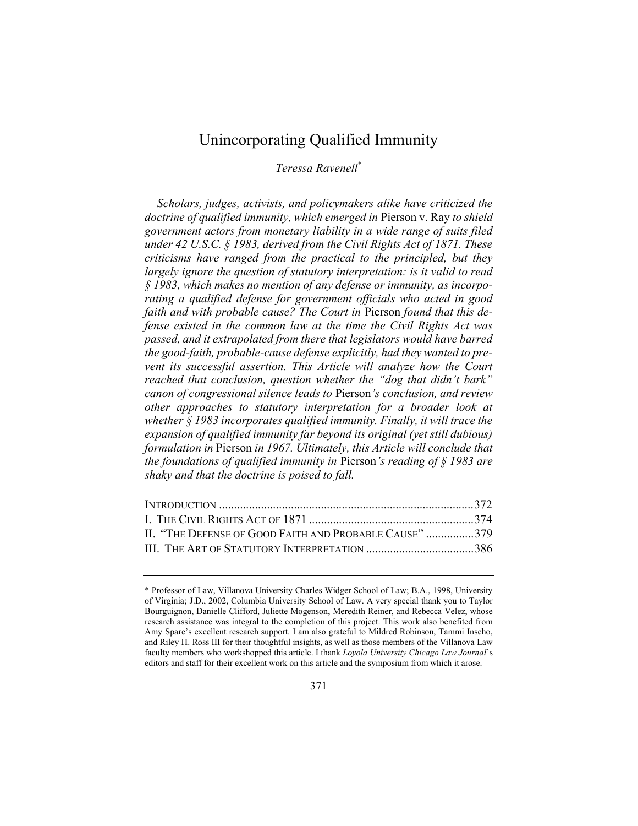# Unincorporating Qualified Immunity

Teressa Ravenell\*

Scholars, judges, activists, and policymakers alike have criticized the doctrine of qualified immunity, which emerged in Pierson v. Ray to shield government actors from monetary liability in a wide range of suits filed under 42 U.S.C. § 1983, derived from the Civil Rights Act of 1871. These criticisms have ranged from the practical to the principled, but they largely ignore the question of statutory interpretation: is it valid to read § 1983, which makes no mention of any defense or immunity, as incorporating a qualified defense for government officials who acted in good faith and with probable cause? The Court in Pierson found that this defense existed in the common law at the time the Civil Rights Act was passed, and it extrapolated from there that legislators would have barred the good-faith, probable-cause defense explicitly, had they wanted to prevent its successful assertion. This Article will analyze how the Court reached that conclusion, question whether the "dog that didn't bark" canon of congressional silence leads to Pierson's conclusion, and review other approaches to statutory interpretation for a broader look at whether § 1983 incorporates qualified immunity. Finally, it will trace the expansion of qualified immunity far beyond its original (yet still dubious) formulation in Pierson in 1967. Ultimately, this Article will conclude that the foundations of qualified immunity in Pierson's reading of  $\S$  1983 are shaky and that the doctrine is poised to fall.

| II. "THE DEFENSE OF GOOD FAITH AND PROBABLE CAUSE" 379 |  |
|--------------------------------------------------------|--|
|                                                        |  |

<sup>\*</sup> Professor of Law, Villanova University Charles Widger School of Law; B.A., 1998, University of Virginia; J.D., 2002, Columbia University School of Law. A very special thank you to Taylor Bourguignon, Danielle Clifford, Juliette Mogenson, Meredith Reiner, and Rebecca Velez, whose research assistance was integral to the completion of this project. This work also benefited from Amy Spare's excellent research support. I am also grateful to Mildred Robinson, Tammi Inscho, and Riley H. Ross III for their thoughtful insights, as well as those members of the Villanova Law faculty members who workshopped this article. I thank Loyola University Chicago Law Journal's editors and staff for their excellent work on this article and the symposium from which it arose.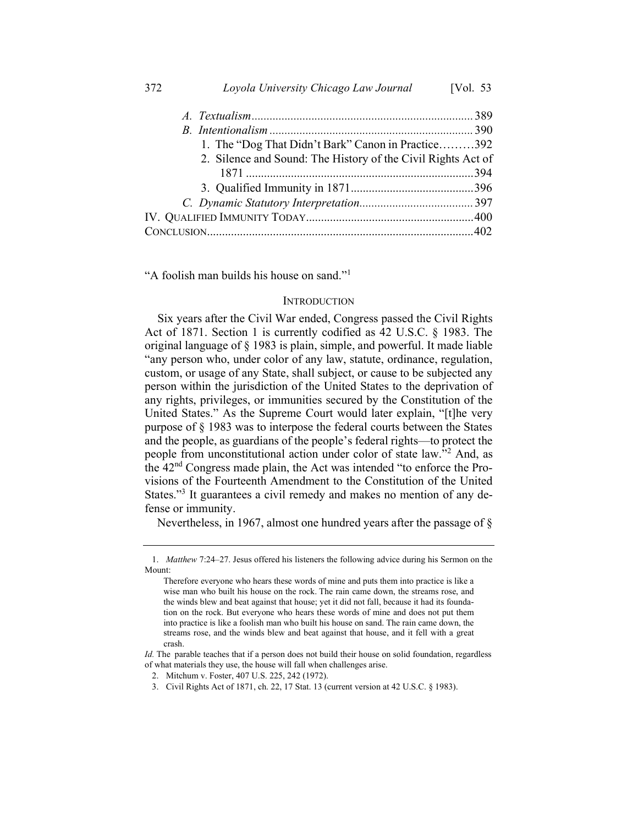| 372 | Loyola University Chicago Law Journal                        | [Vol. 53] |
|-----|--------------------------------------------------------------|-----------|
|     |                                                              |           |
|     |                                                              |           |
|     | 1. The "Dog That Didn't Bark" Canon in Practice392           |           |
|     | 2. Silence and Sound: The History of the Civil Rights Act of |           |
|     |                                                              |           |
|     |                                                              |           |
|     |                                                              |           |
|     |                                                              |           |
|     |                                                              |           |

"A foolish man builds his house on sand."<sup>1</sup>

# **INTRODUCTION**

Six years after the Civil War ended, Congress passed the Civil Rights Act of 1871. Section 1 is currently codified as 42 U.S.C. § 1983. The original language of § 1983 is plain, simple, and powerful. It made liable "any person who, under color of any law, statute, ordinance, regulation, custom, or usage of any State, shall subject, or cause to be subjected any person within the jurisdiction of the United States to the deprivation of any rights, privileges, or immunities secured by the Constitution of the United States." As the Supreme Court would later explain, "[t]he very purpose of § 1983 was to interpose the federal courts between the States and the people, as guardians of the people's federal rights—to protect the people from unconstitutional action under color of state law."<sup>2</sup> And, as the 42nd Congress made plain, the Act was intended "to enforce the Provisions of the Fourteenth Amendment to the Constitution of the United States."<sup>3</sup> It guarantees a civil remedy and makes no mention of any defense or immunity.

Nevertheless, in 1967, almost one hundred years after the passage of §

<sup>1.</sup> Matthew 7:24–27. Jesus offered his listeners the following advice during his Sermon on the Mount:

Therefore everyone who hears these words of mine and puts them into practice is like a wise man who built his house on the rock. The rain came down, the streams rose, and the winds blew and beat against that house; yet it did not fall, because it had its foundation on the rock. But everyone who hears these words of mine and does not put them into practice is like a foolish man who built his house on sand. The rain came down, the streams rose, and the winds blew and beat against that house, and it fell with a great crash.

Id. The parable teaches that if a person does not build their house on solid foundation, regardless of what materials they use, the house will fall when challenges arise.

<sup>2.</sup> Mitchum v. Foster, 407 U.S. 225, 242 (1972).

<sup>3.</sup> Civil Rights Act of 1871, ch. 22, 17 Stat. 13 (current version at 42 U.S.C. § 1983).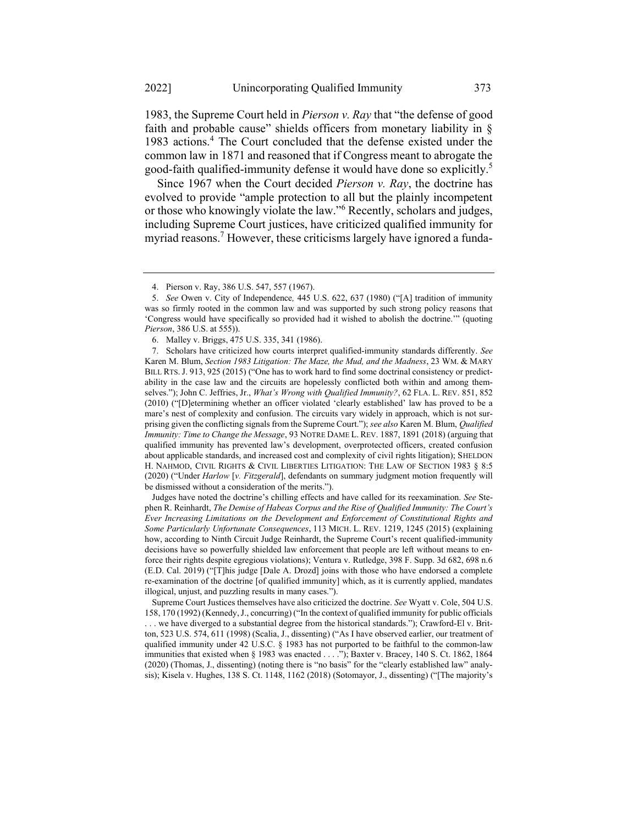1983, the Supreme Court held in Pierson v. Ray that "the defense of good faith and probable cause" shields officers from monetary liability in § 1983 actions.<sup>4</sup> The Court concluded that the defense existed under the common law in 1871 and reasoned that if Congress meant to abrogate the good-faith qualified-immunity defense it would have done so explicitly.<sup>5</sup>

Since 1967 when the Court decided *Pierson v. Ray*, the doctrine has evolved to provide "ample protection to all but the plainly incompetent or those who knowingly violate the law."<sup>6</sup> Recently, scholars and judges, including Supreme Court justices, have criticized qualified immunity for myriad reasons.<sup>7</sup> However, these criticisms largely have ignored a funda-

 Judges have noted the doctrine's chilling effects and have called for its reexamination. See Stephen R. Reinhardt, The Demise of Habeas Corpus and the Rise of Qualified Immunity: The Court's Ever Increasing Limitations on the Development and Enforcement of Constitutional Rights and Some Particularly Unfortunate Consequences, 113 MICH. L. REV. 1219, 1245 (2015) (explaining how, according to Ninth Circuit Judge Reinhardt, the Supreme Court's recent qualified-immunity decisions have so powerfully shielded law enforcement that people are left without means to enforce their rights despite egregious violations); Ventura v. Rutledge, 398 F. Supp. 3d 682, 698 n.6 (E.D. Cal. 2019) ("[T]his judge [Dale A. Drozd] joins with those who have endorsed a complete re-examination of the doctrine [of qualified immunity] which, as it is currently applied, mandates illogical, unjust, and puzzling results in many cases.").

 Supreme Court Justices themselves have also criticized the doctrine. See Wyatt v. Cole, 504 U.S. 158, 170 (1992) (Kennedy, J., concurring) ("In the context of qualified immunity for public officials . . . we have diverged to a substantial degree from the historical standards."); Crawford-El v. Britton, 523 U.S. 574, 611 (1998) (Scalia, J., dissenting) ("As I have observed earlier, our treatment of qualified immunity under 42 U.S.C. § 1983 has not purported to be faithful to the common-law immunities that existed when § 1983 was enacted . . . ."); Baxter v. Bracey, 140 S. Ct. 1862, 1864 (2020) (Thomas, J., dissenting) (noting there is "no basis" for the "clearly established law" analysis); Kisela v. Hughes, 138 S. Ct. 1148, 1162 (2018) (Sotomayor, J., dissenting) ("[The majority's

<sup>4.</sup> Pierson v. Ray, 386 U.S. 547, 557 (1967).

<sup>5.</sup> See Owen v. City of Independence, 445 U.S. 622, 637 (1980) ("[A] tradition of immunity was so firmly rooted in the common law and was supported by such strong policy reasons that 'Congress would have specifically so provided had it wished to abolish the doctrine.'" (quoting Pierson, 386 U.S. at 555)).

<sup>6.</sup> Malley v. Briggs, 475 U.S. 335, 341 (1986).

<sup>7.</sup> Scholars have criticized how courts interpret qualified-immunity standards differently. See Karen M. Blum, Section 1983 Litigation: The Maze, the Mud, and the Madness, 23 WM. & MARY BILL RTS. J. 913, 925 (2015) ("One has to work hard to find some doctrinal consistency or predictability in the case law and the circuits are hopelessly conflicted both within and among themselves."); John C. Jeffries, Jr., What's Wrong with Qualified Immunity?, 62 FLA. L. REV. 851, 852 (2010) ("[D]etermining whether an officer violated 'clearly established' law has proved to be a mare's nest of complexity and confusion. The circuits vary widely in approach, which is not surprising given the conflicting signals from the Supreme Court."); see also Karen M. Blum, Qualified Immunity: Time to Change the Message, 93 NOTRE DAME L. REV. 1887, 1891 (2018) (arguing that qualified immunity has prevented law's development, overprotected officers, created confusion about applicable standards, and increased cost and complexity of civil rights litigation); SHELDON H. NAHMOD, CIVIL RIGHTS & CIVIL LIBERTIES LITIGATION: THE LAW OF SECTION 1983 § 8:5 (2020) ("Under Harlow [v. Fitzgerald], defendants on summary judgment motion frequently will be dismissed without a consideration of the merits.").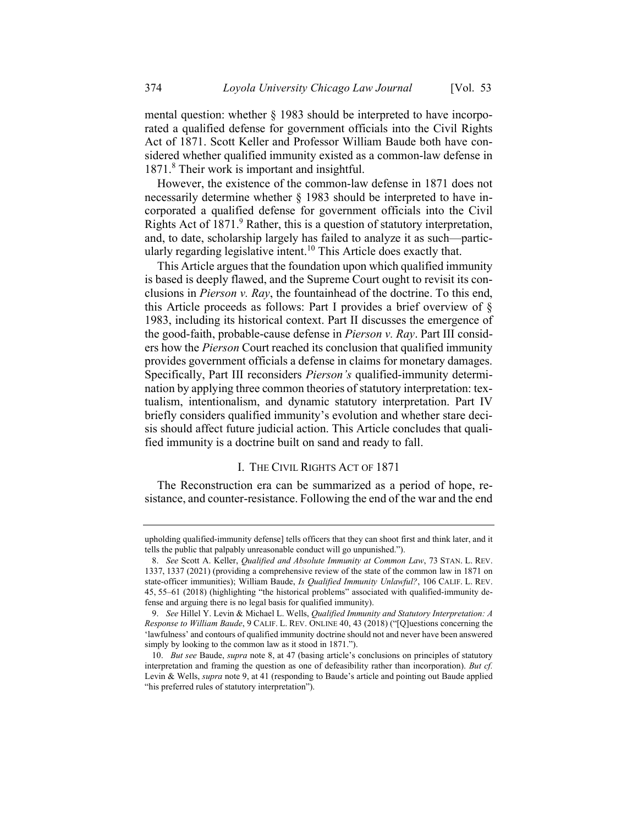mental question: whether § 1983 should be interpreted to have incorporated a qualified defense for government officials into the Civil Rights Act of 1871. Scott Keller and Professor William Baude both have considered whether qualified immunity existed as a common-law defense in 1871.<sup>8</sup> Their work is important and insightful.

However, the existence of the common-law defense in 1871 does not necessarily determine whether § 1983 should be interpreted to have incorporated a qualified defense for government officials into the Civil Rights Act of 1871.<sup>9</sup> Rather, this is a question of statutory interpretation, and, to date, scholarship largely has failed to analyze it as such—particularly regarding legislative intent.<sup>10</sup> This Article does exactly that.

This Article argues that the foundation upon which qualified immunity is based is deeply flawed, and the Supreme Court ought to revisit its conclusions in Pierson v. Ray, the fountainhead of the doctrine. To this end, this Article proceeds as follows: Part I provides a brief overview of § 1983, including its historical context. Part II discusses the emergence of the good-faith, probable-cause defense in Pierson v. Ray. Part III considers how the Pierson Court reached its conclusion that qualified immunity provides government officials a defense in claims for monetary damages. Specifically, Part III reconsiders Pierson's qualified-immunity determination by applying three common theories of statutory interpretation: textualism, intentionalism, and dynamic statutory interpretation. Part IV briefly considers qualified immunity's evolution and whether stare decisis should affect future judicial action. This Article concludes that qualified immunity is a doctrine built on sand and ready to fall.

# I. THE CIVIL RIGHTS ACT OF 1871

The Reconstruction era can be summarized as a period of hope, resistance, and counter-resistance. Following the end of the war and the end

upholding qualified-immunity defense] tells officers that they can shoot first and think later, and it tells the public that palpably unreasonable conduct will go unpunished.").

<sup>8.</sup> See Scott A. Keller, Qualified and Absolute Immunity at Common Law, 73 STAN. L. REV. 1337, 1337 (2021) (providing a comprehensive review of the state of the common law in 1871 on state-officer immunities); William Baude, Is Qualified Immunity Unlawful?, 106 CALIF. L. REV. 45, 55–61 (2018) (highlighting "the historical problems" associated with qualified-immunity defense and arguing there is no legal basis for qualified immunity).

<sup>9.</sup> See Hillel Y. Levin & Michael L. Wells, Qualified Immunity and Statutory Interpretation: A Response to William Baude, 9 CALIF. L. REV. ONLINE 40, 43 (2018) ("[Q]uestions concerning the 'lawfulness' and contours of qualified immunity doctrine should not and never have been answered simply by looking to the common law as it stood in 1871.").

<sup>10.</sup> But see Baude, supra note 8, at 47 (basing article's conclusions on principles of statutory interpretation and framing the question as one of defeasibility rather than incorporation). But cf. Levin & Wells, *supra* note 9, at 41 (responding to Baude's article and pointing out Baude applied "his preferred rules of statutory interpretation").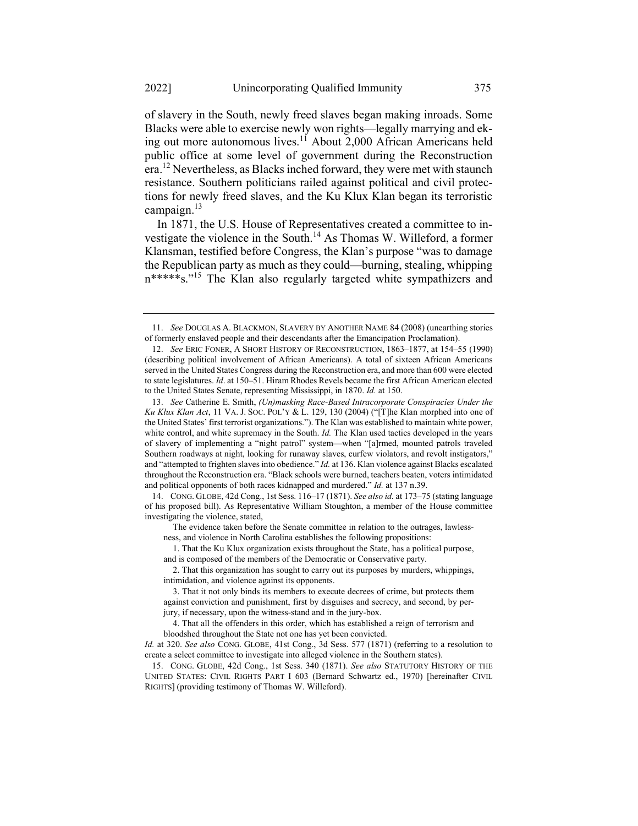of slavery in the South, newly freed slaves began making inroads. Some Blacks were able to exercise newly won rights—legally marrying and eking out more autonomous lives.<sup>11</sup> About 2,000 African Americans held public office at some level of government during the Reconstruction era.<sup>12</sup> Nevertheless, as Blacks inched forward, they were met with staunch resistance. Southern politicians railed against political and civil protections for newly freed slaves, and the Ku Klux Klan began its terroristic campaign.<sup>13</sup>

In 1871, the U.S. House of Representatives created a committee to investigate the violence in the South.<sup>14</sup> As Thomas W. Willeford, a former Klansman, testified before Congress, the Klan's purpose "was to damage the Republican party as much as they could—burning, stealing, whipping n\*\*\*\*\*s."<sup>15</sup> The Klan also regularly targeted white sympathizers and

14. CONG. GLOBE, 42d Cong., 1st Sess. 116–17 (1871). See also id. at 173–75 (stating language of his proposed bill). As Representative William Stoughton, a member of the House committee investigating the violence, stated,

 The evidence taken before the Senate committee in relation to the outrages, lawlessness, and violence in North Carolina establishes the following propositions:

 1. That the Ku Klux organization exists throughout the State, has a political purpose, and is composed of the members of the Democratic or Conservative party.

 2. That this organization has sought to carry out its purposes by murders, whippings, intimidation, and violence against its opponents.

 4. That all the offenders in this order, which has established a reign of terrorism and bloodshed throughout the State not one has yet been convicted.

15. CONG. GLOBE, 42d Cong., 1st Sess. 340 (1871). See also STATUTORY HISTORY OF THE UNITED STATES: CIVIL RIGHTS PART I 603 (Bernard Schwartz ed., 1970) [hereinafter CIVIL RIGHTS] (providing testimony of Thomas W. Willeford).

<sup>11.</sup> See DOUGLAS A. BLACKMON, SLAVERY BY ANOTHER NAME 84 (2008) (unearthing stories of formerly enslaved people and their descendants after the Emancipation Proclamation).

<sup>12.</sup> See ERIC FONER, A SHORT HISTORY OF RECONSTRUCTION, 1863–1877, at 154–55 (1990) (describing political involvement of African Americans). A total of sixteen African Americans served in the United States Congress during the Reconstruction era, and more than 600 were elected to state legislatures. Id. at 150–51. Hiram Rhodes Revels became the first African American elected to the United States Senate, representing Mississippi, in 1870. Id. at 150.

<sup>13.</sup> See Catherine E. Smith, (Un)masking Race-Based Intracorporate Conspiracies Under the Ku Klux Klan Act, 11 VA. J. SOC. POL'Y & L. 129, 130 (2004) ("[T]he Klan morphed into one of the United States' first terrorist organizations."). The Klan was established to maintain white power, white control, and white supremacy in the South.  $Id$ . The Klan used tactics developed in the years of slavery of implementing a "night patrol" system—when "[a]rmed, mounted patrols traveled Southern roadways at night, looking for runaway slaves, curfew violators, and revolt instigators," and "attempted to frighten slaves into obedience." Id. at 136. Klan violence against Blacks escalated throughout the Reconstruction era. "Black schools were burned, teachers beaten, voters intimidated and political opponents of both races kidnapped and murdered." Id. at 137 n.39.

 <sup>3.</sup> That it not only binds its members to execute decrees of crime, but protects them against conviction and punishment, first by disguises and secrecy, and second, by perjury, if necessary, upon the witness-stand and in the jury-box.

Id. at 320. See also CONG. GLOBE, 41st Cong., 3d Sess. 577 (1871) (referring to a resolution to create a select committee to investigate into alleged violence in the Southern states).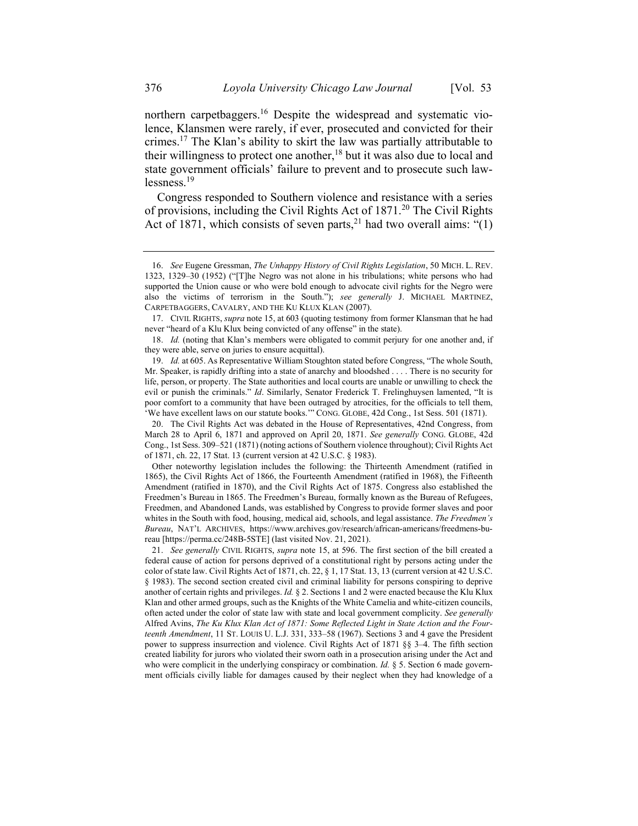northern carpetbaggers.<sup>16</sup> Despite the widespread and systematic violence, Klansmen were rarely, if ever, prosecuted and convicted for their crimes.<sup>17</sup> The Klan's ability to skirt the law was partially attributable to their willingness to protect one another,  $18$  but it was also due to local and state government officials' failure to prevent and to prosecute such lawlessness.<sup>19</sup>

Congress responded to Southern violence and resistance with a series of provisions, including the Civil Rights Act of 1871.<sup>20</sup> The Civil Rights Act of 1871, which consists of seven parts,  $2^{1}$  had two overall aims: "(1)

20. The Civil Rights Act was debated in the House of Representatives, 42nd Congress, from March 28 to April 6, 1871 and approved on April 20, 1871. See generally CONG. GLOBE, 42d Cong., 1st Sess. 309–521 (1871) (noting actions of Southern violence throughout); Civil Rights Act of 1871, ch. 22, 17 Stat. 13 (current version at 42 U.S.C. § 1983).

 Other noteworthy legislation includes the following: the Thirteenth Amendment (ratified in 1865), the Civil Rights Act of 1866, the Fourteenth Amendment (ratified in 1968), the Fifteenth Amendment (ratified in 1870), and the Civil Rights Act of 1875. Congress also established the Freedmen's Bureau in 1865. The Freedmen's Bureau, formally known as the Bureau of Refugees, Freedmen, and Abandoned Lands, was established by Congress to provide former slaves and poor whites in the South with food, housing, medical aid, schools, and legal assistance. The Freedmen's Bureau, NAT'L ARCHIVES, https://www.archives.gov/research/african-americans/freedmens-bureau [https://perma.cc/248B-5STE] (last visited Nov. 21, 2021).

21. See generally CIVIL RIGHTS, supra note 15, at 596. The first section of the bill created a federal cause of action for persons deprived of a constitutional right by persons acting under the color of state law. Civil Rights Act of 1871, ch. 22, § 1, 17 Stat. 13, 13 (current version at 42 U.S.C. § 1983). The second section created civil and criminal liability for persons conspiring to deprive another of certain rights and privileges. Id.  $\S$  2. Sections 1 and 2 were enacted because the Klu Klux Klan and other armed groups, such as the Knights of the White Camelia and white-citizen councils, often acted under the color of state law with state and local government complicity. See generally Alfred Avins, The Ku Klux Klan Act of 1871: Some Reflected Light in State Action and the Fourteenth Amendment, 11 ST. LOUIS U. L.J. 331, 333–58 (1967). Sections 3 and 4 gave the President power to suppress insurrection and violence. Civil Rights Act of 1871 §§ 3–4. The fifth section created liability for jurors who violated their sworn oath in a prosecution arising under the Act and who were complicit in the underlying conspiracy or combination. Id. § 5. Section 6 made government officials civilly liable for damages caused by their neglect when they had knowledge of a

<sup>16.</sup> See Eugene Gressman, The Unhappy History of Civil Rights Legislation, 50 MICH. L. REV. 1323, 1329–30 (1952) ("[T]he Negro was not alone in his tribulations; white persons who had supported the Union cause or who were bold enough to advocate civil rights for the Negro were also the victims of terrorism in the South."); see generally J. MICHAEL MARTINEZ, CARPETBAGGERS, CAVALRY, AND THE KU KLUX KLAN (2007).

<sup>17.</sup> CIVIL RIGHTS, supra note 15, at 603 (quoting testimony from former Klansman that he had never "heard of a Klu Klux being convicted of any offense" in the state).

<sup>18.</sup> Id. (noting that Klan's members were obligated to commit perjury for one another and, if they were able, serve on juries to ensure acquittal).

<sup>19.</sup> Id. at 605. As Representative William Stoughton stated before Congress, "The whole South, Mr. Speaker, is rapidly drifting into a state of anarchy and bloodshed . . . . There is no security for life, person, or property. The State authorities and local courts are unable or unwilling to check the evil or punish the criminals." Id. Similarly, Senator Frederick T. Frelinghuysen lamented, "It is poor comfort to a community that have been outraged by atrocities, for the officials to tell them, 'We have excellent laws on our statute books.'" CONG. GLOBE, 42d Cong., 1st Sess. 501 (1871).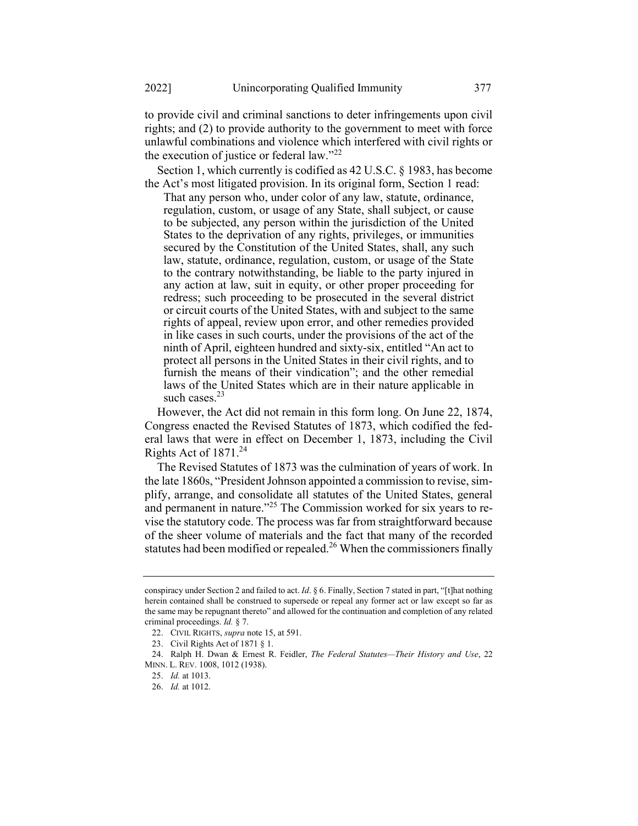to provide civil and criminal sanctions to deter infringements upon civil rights; and (2) to provide authority to the government to meet with force unlawful combinations and violence which interfered with civil rights or the execution of justice or federal law." $^{22}$ 

Section 1, which currently is codified as 42 U.S.C. § 1983, has become the Act's most litigated provision. In its original form, Section 1 read:

That any person who, under color of any law, statute, ordinance, regulation, custom, or usage of any State, shall subject, or cause to be subjected, any person within the jurisdiction of the United States to the deprivation of any rights, privileges, or immunities secured by the Constitution of the United States, shall, any such law, statute, ordinance, regulation, custom, or usage of the State to the contrary notwithstanding, be liable to the party injured in any action at law, suit in equity, or other proper proceeding for redress; such proceeding to be prosecuted in the several district or circuit courts of the United States, with and subject to the same rights of appeal, review upon error, and other remedies provided in like cases in such courts, under the provisions of the act of the ninth of April, eighteen hundred and sixty-six, entitled "An act to protect all persons in the United States in their civil rights, and to furnish the means of their vindication"; and the other remedial laws of the United States which are in their nature applicable in such cases. $23$ 

However, the Act did not remain in this form long. On June 22, 1874, Congress enacted the Revised Statutes of 1873, which codified the federal laws that were in effect on December 1, 1873, including the Civil Rights Act of  $1871.^{24}$ 

The Revised Statutes of 1873 was the culmination of years of work. In the late 1860s, "President Johnson appointed a commission to revise, simplify, arrange, and consolidate all statutes of the United States, general and permanent in nature."<sup>25</sup> The Commission worked for six years to revise the statutory code. The process was far from straightforward because of the sheer volume of materials and the fact that many of the recorded statutes had been modified or repealed.<sup>26</sup> When the commissioners finally

conspiracy under Section 2 and failed to act. Id.  $\S 6$ . Finally, Section 7 stated in part, "[t]hat nothing herein contained shall be construed to supersede or repeal any former act or law except so far as the same may be repugnant thereto" and allowed for the continuation and completion of any related criminal proceedings. Id. § 7.

<sup>22.</sup> CIVIL RIGHTS, supra note 15, at 591.

<sup>23.</sup> Civil Rights Act of 1871 § 1.

<sup>24.</sup> Ralph H. Dwan & Ernest R. Feidler, The Federal Statutes-Their History and Use, 22 MINN. L. REV. 1008, 1012 (1938).

<sup>25.</sup> Id. at 1013.

<sup>26.</sup> Id. at 1012.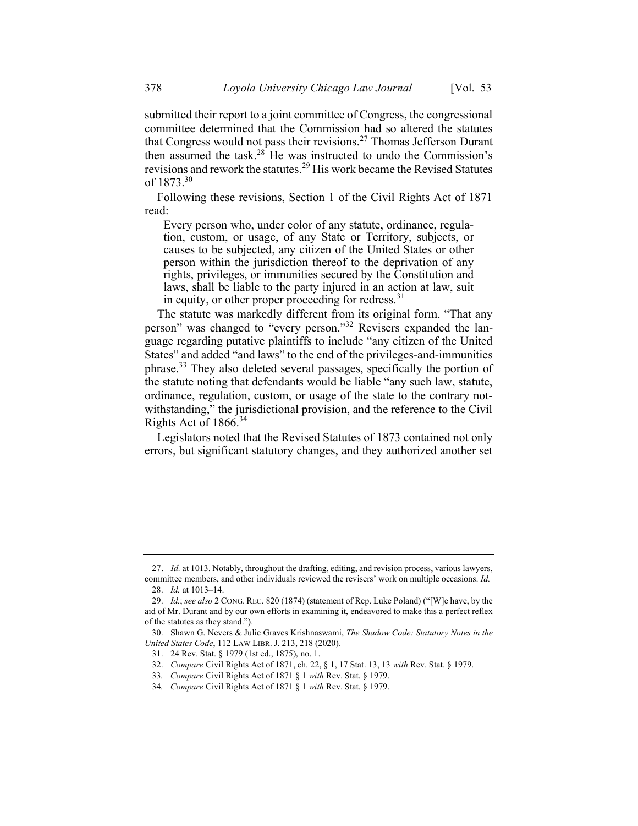submitted their report to a joint committee of Congress, the congressional committee determined that the Commission had so altered the statutes that Congress would not pass their revisions.<sup>27</sup> Thomas Jefferson Durant then assumed the task. $28^{\circ}$  He was instructed to undo the Commission's revisions and rework the statutes.<sup>29</sup> His work became the Revised Statutes of  $1873.^{30}$ 

Following these revisions, Section 1 of the Civil Rights Act of 1871 read:

Every person who, under color of any statute, ordinance, regulation, custom, or usage, of any State or Territory, subjects, or causes to be subjected, any citizen of the United States or other person within the jurisdiction thereof to the deprivation of any rights, privileges, or immunities secured by the Constitution and laws, shall be liable to the party injured in an action at law, suit in equity, or other proper proceeding for redress.  $31$ 

The statute was markedly different from its original form. "That any person" was changed to "every person."<sup>32</sup> Revisers expanded the language regarding putative plaintiffs to include "any citizen of the United States" and added "and laws" to the end of the privileges-and-immunities phrase.<sup>33</sup> They also deleted several passages, specifically the portion of the statute noting that defendants would be liable "any such law, statute, ordinance, regulation, custom, or usage of the state to the contrary notwithstanding," the jurisdictional provision, and the reference to the Civil Rights Act of  $1866.^{34}$ 

Legislators noted that the Revised Statutes of 1873 contained not only errors, but significant statutory changes, and they authorized another set

<sup>27.</sup> Id. at 1013. Notably, throughout the drafting, editing, and revision process, various lawyers, committee members, and other individuals reviewed the revisers' work on multiple occasions. Id.

<sup>28.</sup> Id. at 1013–14.

<sup>29.</sup> Id.; see also 2 CONG. REC. 820 (1874) (statement of Rep. Luke Poland) ("[W]e have, by the aid of Mr. Durant and by our own efforts in examining it, endeavored to make this a perfect reflex of the statutes as they stand.").

<sup>30.</sup> Shawn G. Nevers & Julie Graves Krishnaswami, The Shadow Code: Statutory Notes in the United States Code, 112 LAW LIBR. J. 213, 218 (2020).

<sup>31. 24</sup> Rev. Stat. § 1979 (1st ed., 1875), no. 1.

<sup>32.</sup> Compare Civil Rights Act of 1871, ch. 22, § 1, 17 Stat. 13, 13 with Rev. Stat. § 1979.

<sup>33</sup>. Compare Civil Rights Act of 1871 § 1 with Rev. Stat. § 1979.

<sup>34</sup>. Compare Civil Rights Act of 1871 § 1 with Rev. Stat. § 1979.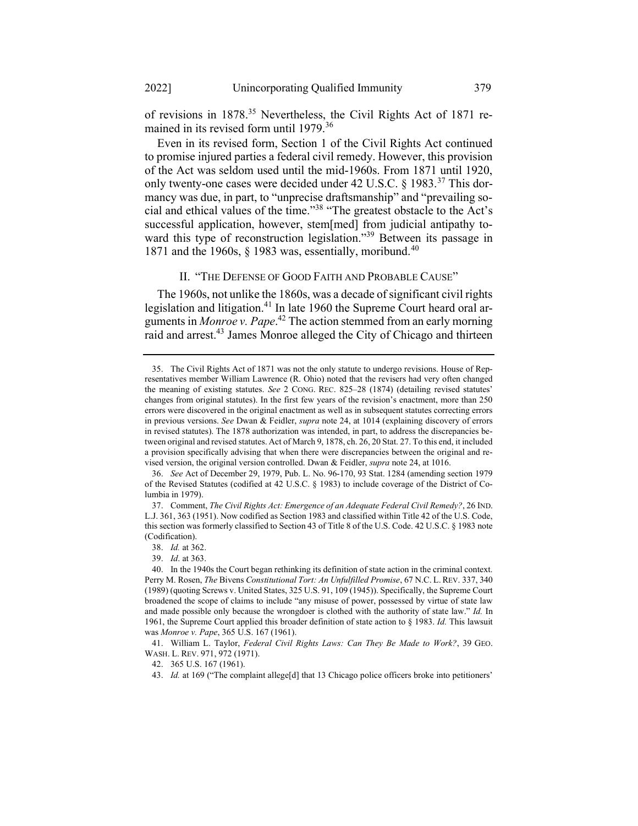of revisions in 1878.<sup>35</sup> Nevertheless, the Civil Rights Act of 1871 remained in its revised form until 1979.<sup>36</sup>

Even in its revised form, Section 1 of the Civil Rights Act continued to promise injured parties a federal civil remedy. However, this provision of the Act was seldom used until the mid-1960s. From 1871 until 1920, only twenty-one cases were decided under 42 U.S.C. § 1983.<sup>37</sup> This dormancy was due, in part, to "unprecise draftsmanship" and "prevailing social and ethical values of the time."<sup>38</sup> "The greatest obstacle to the Act's successful application, however, stem[med] from judicial antipathy toward this type of reconstruction legislation."<sup>39</sup> Between its passage in 1871 and the 1960s,  $\S$  1983 was, essentially, moribund.<sup>40</sup>

### II. "THE DEFENSE OF GOOD FAITH AND PROBABLE CAUSE"

The 1960s, not unlike the 1860s, was a decade of significant civil rights legislation and litigation.<sup>41</sup> In late 1960 the Supreme Court heard oral arguments in *Monroe v. Pape*.<sup>42</sup> The action stemmed from an early morning raid and arrest.<sup>43</sup> James Monroe alleged the City of Chicago and thirteen

<sup>35.</sup> The Civil Rights Act of 1871 was not the only statute to undergo revisions. House of Representatives member William Lawrence (R. Ohio) noted that the revisers had very often changed the meaning of existing statutes. See 2 CONG. REC. 825–28 (1874) (detailing revised statutes' changes from original statutes). In the first few years of the revision's enactment, more than 250 errors were discovered in the original enactment as well as in subsequent statutes correcting errors in previous versions. See Dwan & Feidler, supra note 24, at 1014 (explaining discovery of errors in revised statutes). The 1878 authorization was intended, in part, to address the discrepancies between original and revised statutes. Act of March 9, 1878, ch. 26, 20 Stat. 27. To this end, it included a provision specifically advising that when there were discrepancies between the original and revised version, the original version controlled. Dwan & Feidler, supra note 24, at 1016.

<sup>36.</sup> See Act of December 29, 1979, Pub. L. No. 96-170, 93 Stat. 1284 (amending section 1979 of the Revised Statutes (codified at 42 U.S.C. § 1983) to include coverage of the District of Columbia in 1979).

<sup>37.</sup> Comment, The Civil Rights Act: Emergence of an Adequate Federal Civil Remedy?, 26 IND. L.J. 361, 363 (1951). Now codified as Section 1983 and classified within Title 42 of the U.S. Code, this section was formerly classified to Section 43 of Title 8 of the U.S. Code. 42 U.S.C. § 1983 note (Codification).

<sup>38.</sup> Id. at 362.

<sup>39.</sup> Id. at 363.

<sup>40.</sup> In the 1940s the Court began rethinking its definition of state action in the criminal context. Perry M. Rosen, The Bivens Constitutional Tort: An Unfulfilled Promise, 67 N.C. L. REV. 337, 340 (1989) (quoting Screws v. United States, 325 U.S. 91, 109 (1945)). Specifically, the Supreme Court broadened the scope of claims to include "any misuse of power, possessed by virtue of state law and made possible only because the wrongdoer is clothed with the authority of state law." Id. In 1961, the Supreme Court applied this broader definition of state action to  $\S$  1983. Id. This lawsuit was Monroe v. Pape, 365 U.S. 167 (1961).

<sup>41.</sup> William L. Taylor, Federal Civil Rights Laws: Can They Be Made to Work?, 39 GEO. WASH. L. REV. 971, 972 (1971).

<sup>42. 365</sup> U.S. 167 (1961).

<sup>43.</sup> Id. at 169 ("The complaint allege[d] that 13 Chicago police officers broke into petitioners'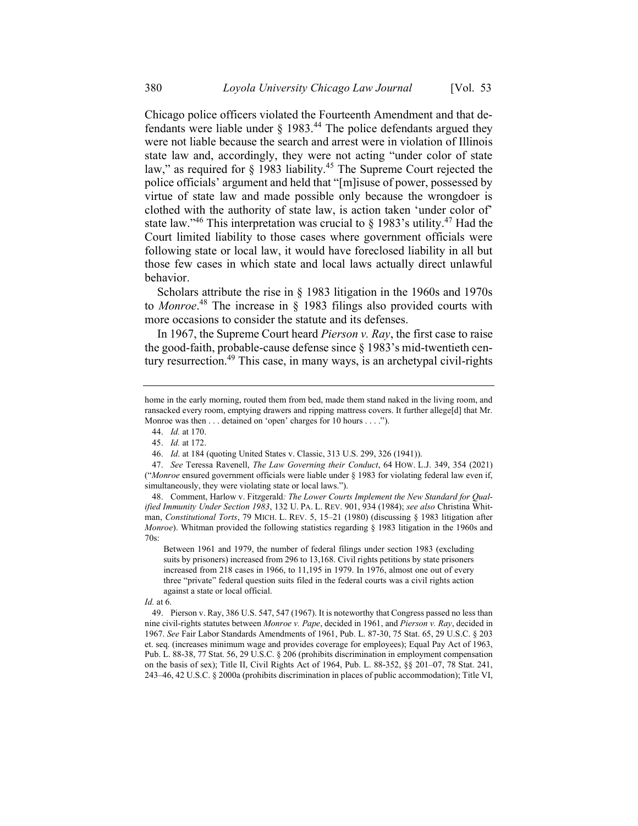Chicago police officers violated the Fourteenth Amendment and that defendants were liable under  $\S$  1983.<sup>44</sup> The police defendants argued they were not liable because the search and arrest were in violation of Illinois state law and, accordingly, they were not acting "under color of state law," as required for  $\S$  1983 liability.<sup>45</sup> The Supreme Court rejected the police officials' argument and held that "[m]isuse of power, possessed by virtue of state law and made possible only because the wrongdoer is clothed with the authority of state law, is action taken 'under color of' state law."<sup>46</sup> This interpretation was crucial to § 1983's utility.<sup>47</sup> Had the Court limited liability to those cases where government officials were following state or local law, it would have foreclosed liability in all but those few cases in which state and local laws actually direct unlawful behavior.

Scholars attribute the rise in § 1983 litigation in the 1960s and 1970s to *Monroe*.<sup>48</sup> The increase in  $\S$  1983 filings also provided courts with more occasions to consider the statute and its defenses.

In 1967, the Supreme Court heard *Pierson v. Ray*, the first case to raise the good-faith, probable-cause defense since § 1983's mid-twentieth century resurrection.<sup>49</sup> This case, in many ways, is an archetypal civil-rights

Between 1961 and 1979, the number of federal filings under section 1983 (excluding suits by prisoners) increased from 296 to 13,168. Civil rights petitions by state prisoners increased from 218 cases in 1966, to 11,195 in 1979. In 1976, almost one out of every three "private" federal question suits filed in the federal courts was a civil rights action against a state or local official.

home in the early morning, routed them from bed, made them stand naked in the living room, and ransacked every room, emptying drawers and ripping mattress covers. It further allege[d] that Mr. Monroe was then . . . detained on 'open' charges for 10 hours . . . .").

<sup>44.</sup> Id. at 170.

<sup>45.</sup> Id. at 172.

<sup>46.</sup> Id. at 184 (quoting United States v. Classic, 313 U.S. 299, 326 (1941)).

<sup>47.</sup> See Teressa Ravenell, The Law Governing their Conduct, 64 HOW. L.J. 349, 354 (2021) ("Monroe ensured government officials were liable under § 1983 for violating federal law even if, simultaneously, they were violating state or local laws.").

<sup>48.</sup> Comment, Harlow v. Fitzgerald: The Lower Courts Implement the New Standard for Qualified Immunity Under Section 1983, 132 U. PA. L. REV. 901, 934 (1984); see also Christina Whitman, Constitutional Torts, 79 MICH. L. REV. 5, 15–21 (1980) (discussing § 1983 litigation after Monroe). Whitman provided the following statistics regarding § 1983 litigation in the 1960s and 70s:

Id. at 6.

<sup>49.</sup> Pierson v. Ray, 386 U.S. 547, 547 (1967). It is noteworthy that Congress passed no less than nine civil-rights statutes between Monroe v. Pape, decided in 1961, and Pierson v. Ray, decided in 1967. See Fair Labor Standards Amendments of 1961, Pub. L. 87-30, 75 Stat. 65, 29 U.S.C. § 203 et. seq. (increases minimum wage and provides coverage for employees); Equal Pay Act of 1963, Pub. L. 88-38, 77 Stat. 56, 29 U.S.C. § 206 (prohibits discrimination in employment compensation on the basis of sex); Title II, Civil Rights Act of 1964, Pub. L. 88-352, §§ 201–07, 78 Stat. 241, 243–46, 42 U.S.C. § 2000a (prohibits discrimination in places of public accommodation); Title VI,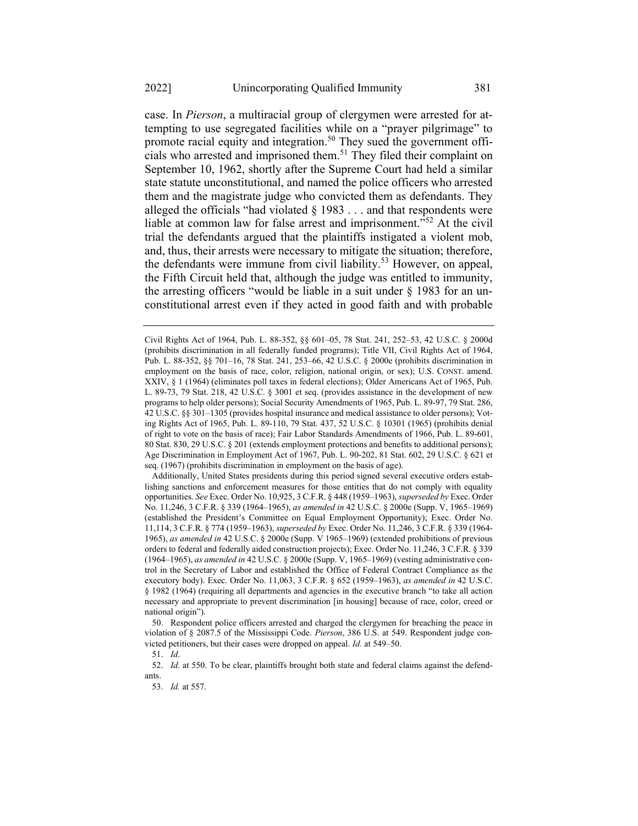case. In Pierson, a multiracial group of clergymen were arrested for attempting to use segregated facilities while on a "prayer pilgrimage" to promote racial equity and integration.<sup>50</sup> They sued the government officials who arrested and imprisoned them.<sup>51</sup> They filed their complaint on September 10, 1962, shortly after the Supreme Court had held a similar state statute unconstitutional, and named the police officers who arrested them and the magistrate judge who convicted them as defendants. They alleged the officials "had violated  $\S$  1983 . . . and that respondents were liable at common law for false arrest and imprisonment."<sup>52</sup> At the civil trial the defendants argued that the plaintiffs instigated a violent mob, and, thus, their arrests were necessary to mitigate the situation; therefore, the defendants were immune from civil liability.<sup>53</sup> However, on appeal, the Fifth Circuit held that, although the judge was entitled to immunity, the arresting officers "would be liable in a suit under  $\S$  1983 for an unconstitutional arrest even if they acted in good faith and with probable

 Additionally, United States presidents during this period signed several executive orders establishing sanctions and enforcement measures for those entities that do not comply with equality opportunities. See Exec. Order No. 10,925, 3 C.F.R. § 448 (1959–1963), superseded by Exec. Order No. 11,246, 3 C.F.R. § 339 (1964–1965), as amended in 42 U.S.C. § 2000e (Supp. V, 1965–1969) (established the President's Committee on Equal Employment Opportunity); Exec. Order No. 11,114, 3 C.F.R. § 774 (1959–1963), superseded by Exec. Order No. 11,246, 3 C.F.R. § 339 (1964- 1965), as amended in 42 U.S.C. § 2000e (Supp. V 1965–1969) (extended prohibitions of previous orders to federal and federally aided construction projects); Exec. Order No. 11,246, 3 C.F.R. § 339 (1964–1965), as amended in 42 U.S.C. § 2000e (Supp. V, 1965–1969) (vesting administrative control in the Secretary of Labor and established the Office of Federal Contract Compliance as the executory body). Exec. Order No. 11,063, 3 C.F.R. § 652 (1959-1963), as amended in 42 U.S.C. § 1982 (1964) (requiring all departments and agencies in the executive branch "to take all action necessary and appropriate to prevent discrimination [in housing] because of race, color, creed or national origin").

50. Respondent police officers arrested and charged the clergymen for breaching the peace in violation of § 2087.5 of the Mississippi Code. Pierson, 386 U.S. at 549. Respondent judge convicted petitioners, but their cases were dropped on appeal. Id. at 549–50.

51. Id.

52. Id. at 550. To be clear, plaintiffs brought both state and federal claims against the defendants.

53. Id. at 557.

Civil Rights Act of 1964, Pub. L. 88-352, §§ 601–05, 78 Stat. 241, 252–53, 42 U.S.C. § 2000d (prohibits discrimination in all federally funded programs); Title VII, Civil Rights Act of 1964, Pub. L. 88-352, §§ 701–16, 78 Stat. 241, 253–66, 42 U.S.C. § 2000e (prohibits discrimination in employment on the basis of race, color, religion, national origin, or sex); U.S. CONST. amend. XXIV, § 1 (1964) (eliminates poll taxes in federal elections); Older Americans Act of 1965, Pub. L. 89-73, 79 Stat. 218, 42 U.S.C. § 3001 et seq. (provides assistance in the development of new programs to help older persons); Social Security Amendments of 1965, Pub. L. 89-97, 79 Stat. 286, 42 U.S.C. §§ 301–1305 (provides hospital insurance and medical assistance to older persons); Voting Rights Act of 1965, Pub. L. 89-110, 79 Stat. 437, 52 U.S.C. § 10301 (1965) (prohibits denial of right to vote on the basis of race); Fair Labor Standards Amendments of 1966, Pub. L. 89-601, 80 Stat. 830, 29 U.S.C. § 201 (extends employment protections and benefits to additional persons); Age Discrimination in Employment Act of 1967, Pub. L. 90-202, 81 Stat. 602, 29 U.S.C. § 621 et seq. (1967) (prohibits discrimination in employment on the basis of age).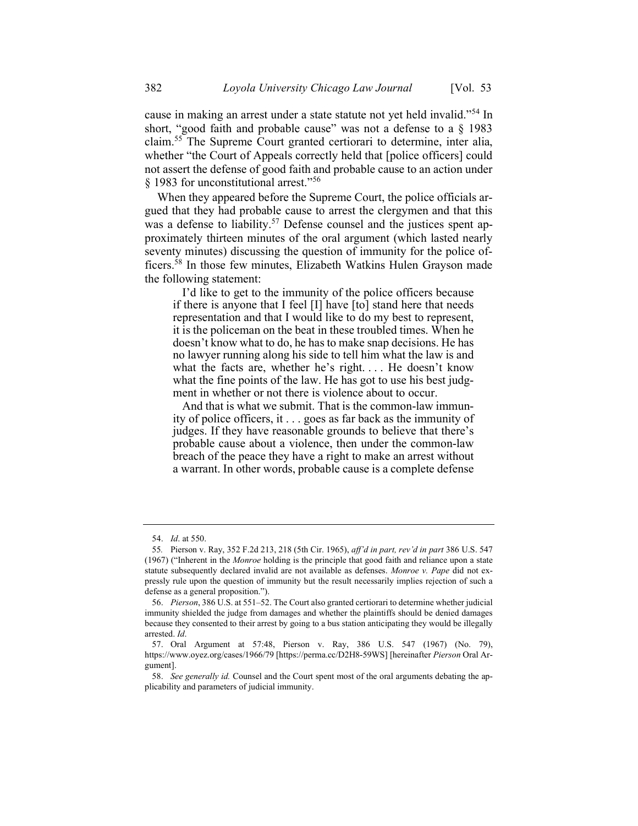cause in making an arrest under a state statute not yet held invalid."<sup>54</sup> In short, "good faith and probable cause" was not a defense to a § 1983 claim.<sup>55</sup> The Supreme Court granted certiorari to determine, inter alia, whether "the Court of Appeals correctly held that [police officers] could not assert the defense of good faith and probable cause to an action under § 1983 for unconstitutional arrest."<sup>56</sup>

When they appeared before the Supreme Court, the police officials argued that they had probable cause to arrest the clergymen and that this was a defense to liability.<sup>57</sup> Defense counsel and the justices spent approximately thirteen minutes of the oral argument (which lasted nearly seventy minutes) discussing the question of immunity for the police officers.<sup>58</sup> In those few minutes, Elizabeth Watkins Hulen Grayson made the following statement:

 I'd like to get to the immunity of the police officers because if there is anyone that I feel [I] have [to] stand here that needs representation and that I would like to do my best to represent, it is the policeman on the beat in these troubled times. When he doesn't know what to do, he has to make snap decisions. He has no lawyer running along his side to tell him what the law is and what the facts are, whether he's right.... He doesn't know what the fine points of the law. He has got to use his best judgment in whether or not there is violence about to occur.

 And that is what we submit. That is the common-law immunity of police officers, it . . . goes as far back as the immunity of judges. If they have reasonable grounds to believe that there's probable cause about a violence, then under the common-law breach of the peace they have a right to make an arrest without a warrant. In other words, probable cause is a complete defense

<sup>54.</sup> Id. at 550.

<sup>55</sup>. Pierson v. Ray, 352 F.2d 213, 218 (5th Cir. 1965), aff'd in part, rev'd in part 386 U.S. 547 (1967) ("Inherent in the Monroe holding is the principle that good faith and reliance upon a state statute subsequently declared invalid are not available as defenses. Monroe v. Pape did not expressly rule upon the question of immunity but the result necessarily implies rejection of such a defense as a general proposition.").

<sup>56.</sup> Pierson, 386 U.S. at 551–52. The Court also granted certiorari to determine whether judicial immunity shielded the judge from damages and whether the plaintiffs should be denied damages because they consented to their arrest by going to a bus station anticipating they would be illegally arrested. Id.

<sup>57.</sup> Oral Argument at 57:48, Pierson v. Ray, 386 U.S. 547 (1967) (No. 79), https://www.oyez.org/cases/1966/79 [https://perma.cc/D2H8-59WS] [hereinafter Pierson Oral Argument].

<sup>58.</sup> See generally id. Counsel and the Court spent most of the oral arguments debating the applicability and parameters of judicial immunity.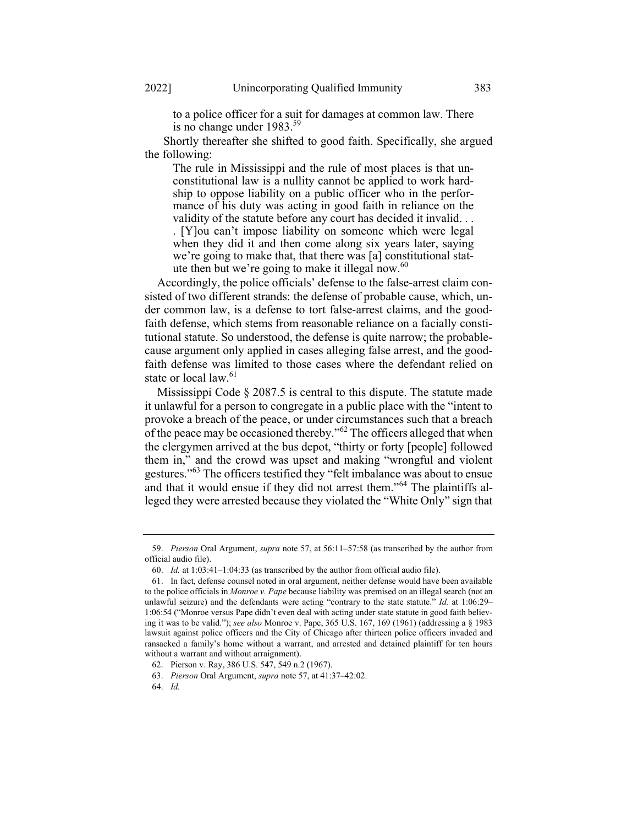to a police officer for a suit for damages at common law. There is no change under 1983.<sup>59</sup>

 Shortly thereafter she shifted to good faith. Specifically, she argued the following:

The rule in Mississippi and the rule of most places is that unconstitutional law is a nullity cannot be applied to work hardship to oppose liability on a public officer who in the performance of his duty was acting in good faith in reliance on the validity of the statute before any court has decided it invalid. . .

. [Y]ou can't impose liability on someone which were legal when they did it and then come along six years later, saying we're going to make that, that there was [a] constitutional statute then but we're going to make it illegal now. $60$ 

Accordingly, the police officials' defense to the false-arrest claim consisted of two different strands: the defense of probable cause, which, under common law, is a defense to tort false-arrest claims, and the goodfaith defense, which stems from reasonable reliance on a facially constitutional statute. So understood, the defense is quite narrow; the probablecause argument only applied in cases alleging false arrest, and the goodfaith defense was limited to those cases where the defendant relied on state or local law.<sup>61</sup>

Mississippi Code § 2087.5 is central to this dispute. The statute made it unlawful for a person to congregate in a public place with the "intent to provoke a breach of the peace, or under circumstances such that a breach of the peace may be occasioned thereby."<sup>62</sup> The officers alleged that when the clergymen arrived at the bus depot, "thirty or forty [people] followed them in," and the crowd was upset and making "wrongful and violent gestures."<sup>63</sup> The officers testified they "felt imbalance was about to ensue and that it would ensue if they did not arrest them."<sup>64</sup> The plaintiffs alleged they were arrested because they violated the "White Only" sign that

<sup>59.</sup> Pierson Oral Argument, supra note 57, at 56:11–57:58 (as transcribed by the author from official audio file).

<sup>60.</sup> Id. at 1:03:41–1:04:33 (as transcribed by the author from official audio file).

<sup>61.</sup> In fact, defense counsel noted in oral argument, neither defense would have been available to the police officials in Monroe v. Pape because liability was premised on an illegal search (not an unlawful seizure) and the defendants were acting "contrary to the state statute."  $Id$ . at 1:06:29– 1:06:54 ("Monroe versus Pape didn't even deal with acting under state statute in good faith believing it was to be valid."); see also Monroe v. Pape,  $365$  U.S.  $167$ ,  $169$  ( $1961$ ) (addressing a  $\S$   $1983$ lawsuit against police officers and the City of Chicago after thirteen police officers invaded and ransacked a family's home without a warrant, and arrested and detained plaintiff for ten hours without a warrant and without arraignment).

<sup>62.</sup> Pierson v. Ray, 386 U.S. 547, 549 n.2 (1967).

<sup>63.</sup> Pierson Oral Argument, supra note 57, at 41:37–42:02.

<sup>64.</sup> Id.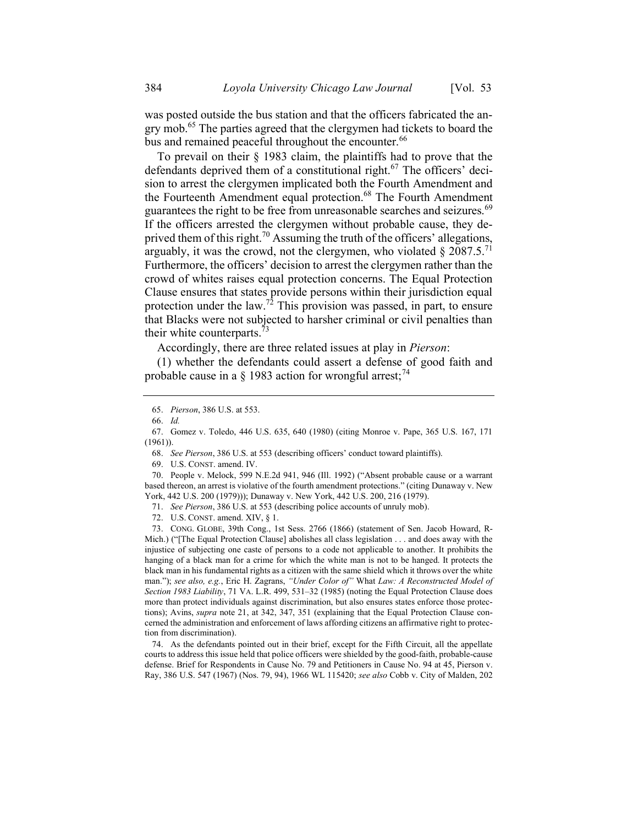was posted outside the bus station and that the officers fabricated the angry mob.<sup>65</sup> The parties agreed that the clergymen had tickets to board the bus and remained peaceful throughout the encounter.<sup>66</sup>

To prevail on their § 1983 claim, the plaintiffs had to prove that the defendants deprived them of a constitutional right.<sup>67</sup> The officers' decision to arrest the clergymen implicated both the Fourth Amendment and the Fourteenth Amendment equal protection.<sup>68</sup> The Fourth Amendment guarantees the right to be free from unreasonable searches and seizures.<sup>69</sup> If the officers arrested the clergymen without probable cause, they deprived them of this right.<sup>70</sup> Assuming the truth of the officers' allegations, arguably, it was the crowd, not the clergymen, who violated  $\S 2087.5$ <sup>71</sup> Furthermore, the officers' decision to arrest the clergymen rather than the crowd of whites raises equal protection concerns. The Equal Protection Clause ensures that states provide persons within their jurisdiction equal protection under the law.<sup>72</sup> This provision was passed, in part, to ensure that Blacks were not subjected to harsher criminal or civil penalties than their white counterparts.<sup>73</sup>

Accordingly, there are three related issues at play in Pierson:

(1) whether the defendants could assert a defense of good faith and probable cause in a § 1983 action for wrongful arrest;<sup>74</sup>

69. U.S. CONST. amend. IV.

70. People v. Melock, 599 N.E.2d 941, 946 (Ill. 1992) ("Absent probable cause or a warrant based thereon, an arrest is violative of the fourth amendment protections." (citing Dunaway v. New York, 442 U.S. 200 (1979))); Dunaway v. New York, 442 U.S. 200, 216 (1979).

72. U.S. CONST. amend. XIV, § 1.

73. CONG. GLOBE, 39th Cong., 1st Sess. 2766 (1866) (statement of Sen. Jacob Howard, R-Mich.) ("[The Equal Protection Clause] abolishes all class legislation . . . and does away with the injustice of subjecting one caste of persons to a code not applicable to another. It prohibits the hanging of a black man for a crime for which the white man is not to be hanged. It protects the black man in his fundamental rights as a citizen with the same shield which it throws over the white man."); see also, e.g., Eric H. Zagrans, "Under Color of" What Law: A Reconstructed Model of Section 1983 Liability, 71 VA. L.R. 499, 531–32 (1985) (noting the Equal Protection Clause does more than protect individuals against discrimination, but also ensures states enforce those protections); Avins, *supra* note 21, at 342, 347, 351 (explaining that the Equal Protection Clause concerned the administration and enforcement of laws affording citizens an affirmative right to protection from discrimination).

74. As the defendants pointed out in their brief, except for the Fifth Circuit, all the appellate courts to address this issue held that police officers were shielded by the good-faith, probable-cause defense. Brief for Respondents in Cause No. 79 and Petitioners in Cause No. 94 at 45, Pierson v. Ray, 386 U.S. 547 (1967) (Nos. 79, 94), 1966 WL 115420; see also Cobb v. City of Malden, 202

<sup>65.</sup> Pierson, 386 U.S. at 553.

<sup>66.</sup> Id.

<sup>67.</sup> Gomez v. Toledo, 446 U.S. 635, 640 (1980) (citing Monroe v. Pape, 365 U.S. 167, 171 (1961)).

<sup>68.</sup> See Pierson, 386 U.S. at 553 (describing officers' conduct toward plaintiffs).

<sup>71.</sup> See Pierson, 386 U.S. at 553 (describing police accounts of unruly mob).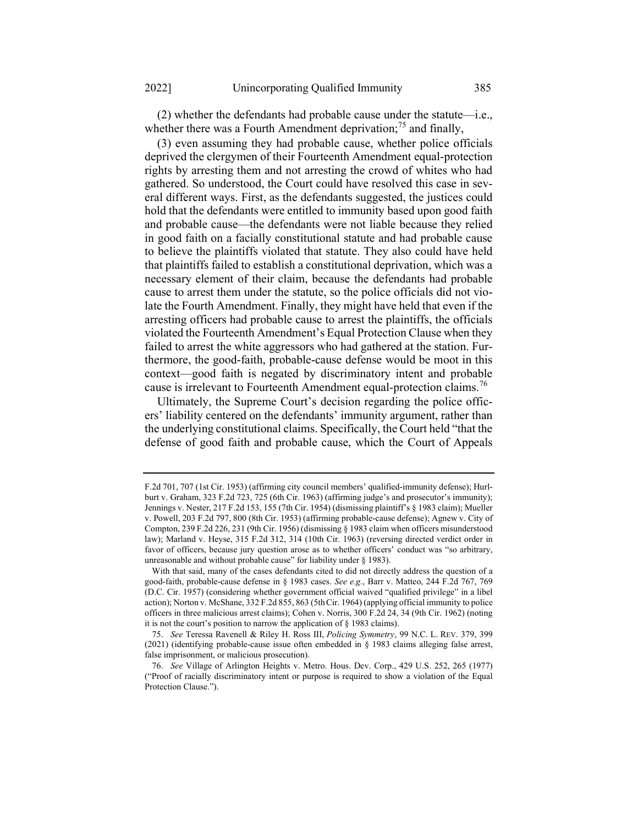(2) whether the defendants had probable cause under the statute—i.e., whether there was a Fourth Amendment deprivation;  $^{75}$  and finally,

(3) even assuming they had probable cause, whether police officials deprived the clergymen of their Fourteenth Amendment equal-protection rights by arresting them and not arresting the crowd of whites who had gathered. So understood, the Court could have resolved this case in several different ways. First, as the defendants suggested, the justices could hold that the defendants were entitled to immunity based upon good faith and probable cause—the defendants were not liable because they relied in good faith on a facially constitutional statute and had probable cause to believe the plaintiffs violated that statute. They also could have held that plaintiffs failed to establish a constitutional deprivation, which was a necessary element of their claim, because the defendants had probable cause to arrest them under the statute, so the police officials did not violate the Fourth Amendment. Finally, they might have held that even if the arresting officers had probable cause to arrest the plaintiffs, the officials violated the Fourteenth Amendment's Equal Protection Clause when they failed to arrest the white aggressors who had gathered at the station. Furthermore, the good-faith, probable-cause defense would be moot in this context—good faith is negated by discriminatory intent and probable cause is irrelevant to Fourteenth Amendment equal-protection claims.<sup>76</sup>

Ultimately, the Supreme Court's decision regarding the police officers' liability centered on the defendants' immunity argument, rather than the underlying constitutional claims. Specifically, the Court held "that the defense of good faith and probable cause, which the Court of Appeals

F.2d 701, 707 (1st Cir. 1953) (affirming city council members' qualified-immunity defense); Hurlburt v. Graham, 323 F.2d 723, 725 (6th Cir. 1963) (affirming judge's and prosecutor's immunity); Jennings v. Nester, 217 F.2d 153, 155 (7th Cir. 1954) (dismissing plaintiff's § 1983 claim); Mueller v. Powell, 203 F.2d 797, 800 (8th Cir. 1953) (affirming probable-cause defense); Agnew v. City of Compton, 239 F.2d 226, 231 (9th Cir. 1956) (dismissing § 1983 claim when officers misunderstood law); Marland v. Heyse, 315 F.2d 312, 314 (10th Cir. 1963) (reversing directed verdict order in favor of officers, because jury question arose as to whether officers' conduct was "so arbitrary, unreasonable and without probable cause" for liability under § 1983).

With that said, many of the cases defendants cited to did not directly address the question of a good-faith, probable-cause defense in § 1983 cases. See e.g., Barr v. Matteo, 244 F.2d 767, 769 (D.C. Cir. 1957) (considering whether government official waived "qualified privilege" in a libel action); Norton v. McShane, 332 F.2d 855, 863 (5thCir. 1964) (applying official immunity to police officers in three malicious arrest claims); Cohen v. Norris, 300 F.2d 24, 34 (9th Cir. 1962) (noting it is not the court's position to narrow the application of § 1983 claims).

<sup>75.</sup> See Teressa Ravenell & Riley H. Ross III, Policing Symmetry, 99 N.C. L. REV. 379, 399 (2021) (identifying probable-cause issue often embedded in § 1983 claims alleging false arrest, false imprisonment, or malicious prosecution).

<sup>76.</sup> See Village of Arlington Heights v. Metro. Hous. Dev. Corp., 429 U.S. 252, 265 (1977) ("Proof of racially discriminatory intent or purpose is required to show a violation of the Equal Protection Clause.").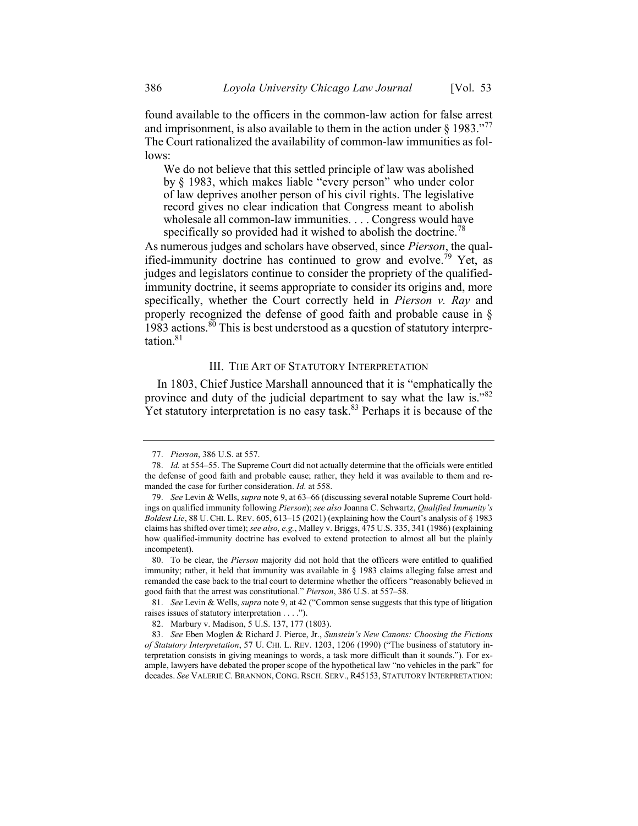found available to the officers in the common-law action for false arrest and imprisonment, is also available to them in the action under  $\S 1983.^{277}$ The Court rationalized the availability of common-law immunities as follows:

We do not believe that this settled principle of law was abolished by § 1983, which makes liable "every person" who under color of law deprives another person of his civil rights. The legislative record gives no clear indication that Congress meant to abolish wholesale all common-law immunities. . . . Congress would have specifically so provided had it wished to abolish the doctrine.<sup>78</sup>

As numerous judges and scholars have observed, since Pierson, the qualified-immunity doctrine has continued to grow and evolve.<sup>79</sup> Yet, as judges and legislators continue to consider the propriety of the qualifiedimmunity doctrine, it seems appropriate to consider its origins and, more specifically, whether the Court correctly held in *Pierson v. Ray* and properly recognized the defense of good faith and probable cause in §  $1983$  actions.<sup>80</sup> This is best understood as a question of statutory interpretation $81$ 

#### III. THE ART OF STATUTORY INTERPRETATION

In 1803, Chief Justice Marshall announced that it is "emphatically the province and duty of the judicial department to say what the law is."<sup>82</sup> Yet statutory interpretation is no easy task.<sup>83</sup> Perhaps it is because of the

<sup>77.</sup> Pierson, 386 U.S. at 557.

<sup>78.</sup> Id. at 554–55. The Supreme Court did not actually determine that the officials were entitled the defense of good faith and probable cause; rather, they held it was available to them and remanded the case for further consideration. Id. at 558.

<sup>79.</sup> See Levin & Wells, supra note 9, at 63–66 (discussing several notable Supreme Court holdings on qualified immunity following Pierson); see also Joanna C. Schwartz, Qualified Immunity's Boldest Lie, 88 U. CHI. L. REV. 605, 613–15 (2021) (explaining how the Court's analysis of § 1983 claims has shifted over time); see also, e.g., Malley v. Briggs, 475 U.S. 335, 341 (1986) (explaining how qualified-immunity doctrine has evolved to extend protection to almost all but the plainly incompetent).

<sup>80.</sup> To be clear, the Pierson majority did not hold that the officers were entitled to qualified immunity; rather, it held that immunity was available in § 1983 claims alleging false arrest and remanded the case back to the trial court to determine whether the officers "reasonably believed in good faith that the arrest was constitutional." Pierson, 386 U.S. at 557–58.

<sup>81.</sup> See Levin & Wells, supra note 9, at 42 ("Common sense suggests that this type of litigation raises issues of statutory interpretation . . . .").

<sup>82.</sup> Marbury v. Madison, 5 U.S. 137, 177 (1803).

<sup>83.</sup> See Eben Moglen & Richard J. Pierce, Jr., Sunstein's New Canons: Choosing the Fictions of Statutory Interpretation, 57 U. CHI. L. REV. 1203, 1206 (1990) ("The business of statutory interpretation consists in giving meanings to words, a task more difficult than it sounds."). For example, lawyers have debated the proper scope of the hypothetical law "no vehicles in the park" for decades. See VALERIE C. BRANNON, CONG. RSCH. SERV., R45153, STATUTORY INTERPRETATION: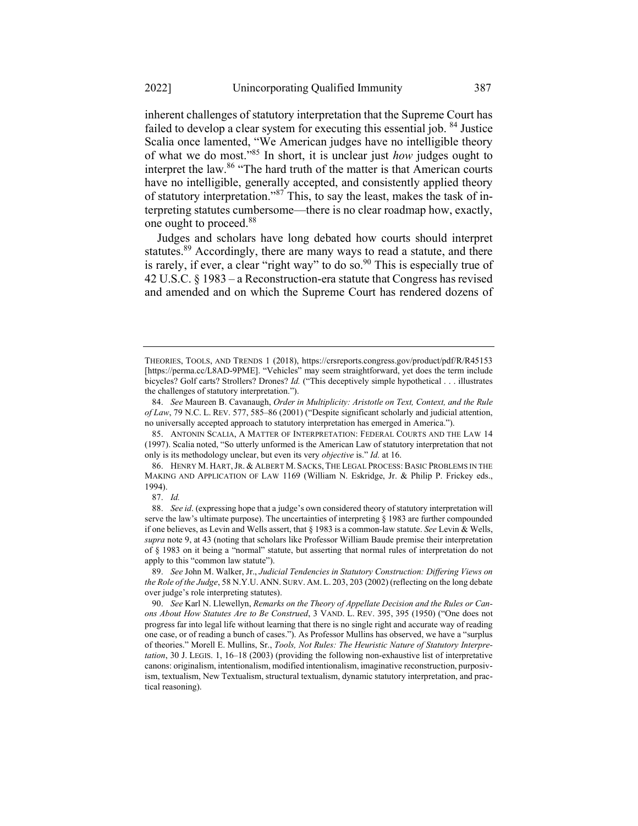inherent challenges of statutory interpretation that the Supreme Court has failed to develop a clear system for executing this essential job. <sup>84</sup> Justice Scalia once lamented, "We American judges have no intelligible theory of what we do most."<sup>85</sup> In short, it is unclear just how judges ought to interpret the law.<sup>86</sup> "The hard truth of the matter is that American courts

have no intelligible, generally accepted, and consistently applied theory of statutory interpretation."<sup>87</sup> This, to say the least, makes the task of interpreting statutes cumbersome—there is no clear roadmap how, exactly, one ought to proceed.<sup>88</sup>

Judges and scholars have long debated how courts should interpret statutes.<sup>89</sup> Accordingly, there are many ways to read a statute, and there is rarely, if ever, a clear "right way" to do so.<sup>90</sup> This is especially true of 42 U.S.C. § 1983 – a Reconstruction-era statute that Congress has revised and amended and on which the Supreme Court has rendered dozens of

THEORIES, TOOLS, AND TRENDS 1 (2018), https://crsreports.congress.gov/product/pdf/R/R45153 [https://perma.cc/L8AD-9PME]. "Vehicles" may seem straightforward, yet does the term include bicycles? Golf carts? Strollers? Drones? Id. ("This deceptively simple hypothetical . . . illustrates the challenges of statutory interpretation.").

<sup>84.</sup> See Maureen B. Cavanaugh, Order in Multiplicity: Aristotle on Text, Context, and the Rule of Law, 79 N.C. L. REV. 577, 585–86 (2001) ("Despite significant scholarly and judicial attention, no universally accepted approach to statutory interpretation has emerged in America.").

<sup>85.</sup> ANTONIN SCALIA, A MATTER OF INTERPRETATION: FEDERAL COURTS AND THE LAW 14 (1997). Scalia noted, "So utterly unformed is the American Law of statutory interpretation that not only is its methodology unclear, but even its very *objective* is." *Id.* at 16.

<sup>86.</sup> HENRY M. HART,JR. & ALBERT M. SACKS, THE LEGAL PROCESS: BASIC PROBLEMS IN THE MAKING AND APPLICATION OF LAW 1169 (William N. Eskridge, Jr. & Philip P. Frickey eds., 1994).

<sup>87.</sup> Id.

<sup>88.</sup> See id. (expressing hope that a judge's own considered theory of statutory interpretation will serve the law's ultimate purpose). The uncertainties of interpreting § 1983 are further compounded if one believes, as Levin and Wells assert, that  $\S$  1983 is a common-law statute. See Levin & Wells, supra note 9, at 43 (noting that scholars like Professor William Baude premise their interpretation of § 1983 on it being a "normal" statute, but asserting that normal rules of interpretation do not apply to this "common law statute").

<sup>89.</sup> See John M. Walker, Jr., Judicial Tendencies in Statutory Construction: Differing Views on the Role of the Judge, 58 N.Y.U. ANN. SURV. AM. L. 203, 203 (2002) (reflecting on the long debate over judge's role interpreting statutes).

<sup>90.</sup> See Karl N. Llewellyn, Remarks on the Theory of Appellate Decision and the Rules or Canons About How Statutes Are to Be Construed, 3 VAND. L. REV. 395, 395 (1950) ("One does not progress far into legal life without learning that there is no single right and accurate way of reading one case, or of reading a bunch of cases."). As Professor Mullins has observed, we have a "surplus of theories." Morell E. Mullins, Sr., Tools, Not Rules: The Heuristic Nature of Statutory Interpretation, 30 J. LEGIS. 1, 16–18 (2003) (providing the following non-exhaustive list of interpretative canons: originalism, intentionalism, modified intentionalism, imaginative reconstruction, purposivism, textualism, New Textualism, structural textualism, dynamic statutory interpretation, and practical reasoning).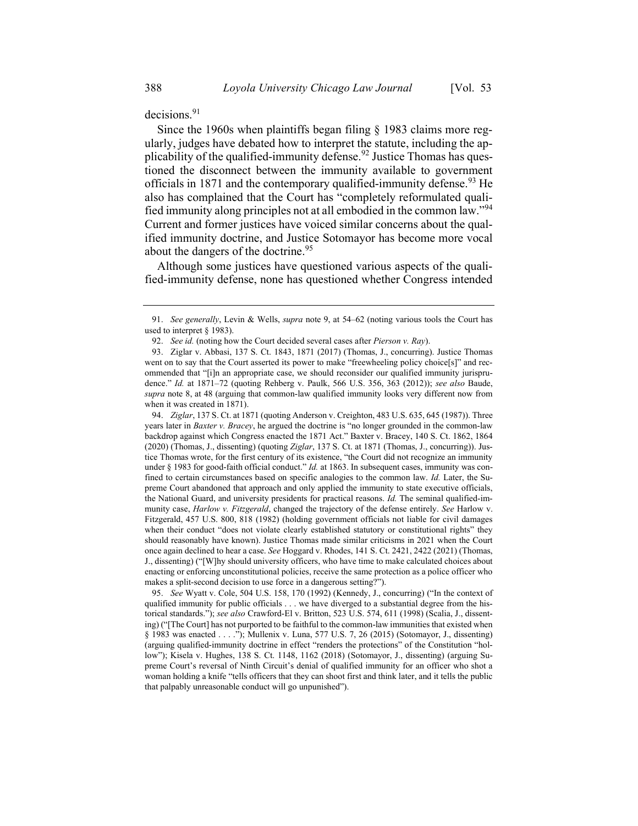decisions.<sup>91</sup>

Since the 1960s when plaintiffs began filing § 1983 claims more regularly, judges have debated how to interpret the statute, including the applicability of the qualified-immunity defense.<sup>92</sup> Justice Thomas has questioned the disconnect between the immunity available to government officials in 1871 and the contemporary qualified-immunity defense.<sup>93</sup> He also has complained that the Court has "completely reformulated qualified immunity along principles not at all embodied in the common law."<sup>94</sup> Current and former justices have voiced similar concerns about the qualified immunity doctrine, and Justice Sotomayor has become more vocal about the dangers of the doctrine.<sup>95</sup>

Although some justices have questioned various aspects of the qualified-immunity defense, none has questioned whether Congress intended

94. Ziglar, 137 S. Ct. at 1871 (quoting Anderson v. Creighton, 483 U.S. 635, 645 (1987)). Three years later in Baxter v. Bracey, he argued the doctrine is "no longer grounded in the common-law backdrop against which Congress enacted the 1871 Act." Baxter v. Bracey, 140 S. Ct. 1862, 1864 (2020) (Thomas, J., dissenting) (quoting Ziglar, 137 S. Ct. at 1871 (Thomas, J., concurring)). Justice Thomas wrote, for the first century of its existence, "the Court did not recognize an immunity under  $\S$  1983 for good-faith official conduct." *Id.* at 1863. In subsequent cases, immunity was confined to certain circumstances based on specific analogies to the common law. Id. Later, the Supreme Court abandoned that approach and only applied the immunity to state executive officials, the National Guard, and university presidents for practical reasons. Id. The seminal qualified-immunity case, Harlow v. Fitzgerald, changed the trajectory of the defense entirely. See Harlow v. Fitzgerald, 457 U.S. 800, 818 (1982) (holding government officials not liable for civil damages when their conduct "does not violate clearly established statutory or constitutional rights" they should reasonably have known). Justice Thomas made similar criticisms in 2021 when the Court once again declined to hear a case. See Hoggard v. Rhodes, 141 S. Ct. 2421, 2422 (2021) (Thomas, J., dissenting) ("[W]hy should university officers, who have time to make calculated choices about enacting or enforcing unconstitutional policies, receive the same protection as a police officer who makes a split-second decision to use force in a dangerous setting?").

95. See Wyatt v. Cole, 504 U.S. 158, 170 (1992) (Kennedy, J., concurring) ("In the context of qualified immunity for public officials . . . we have diverged to a substantial degree from the historical standards."); see also Crawford-El v. Britton, 523 U.S. 574, 611 (1998) (Scalia, J., dissenting) ("[The Court] has not purported to be faithful to the common-law immunities that existed when § 1983 was enacted . . . ."); Mullenix v. Luna, 577 U.S. 7, 26 (2015) (Sotomayor, J., dissenting) (arguing qualified-immunity doctrine in effect "renders the protections" of the Constitution "hollow"); Kisela v. Hughes, 138 S. Ct. 1148, 1162 (2018) (Sotomayor, J., dissenting) (arguing Supreme Court's reversal of Ninth Circuit's denial of qualified immunity for an officer who shot a woman holding a knife "tells officers that they can shoot first and think later, and it tells the public that palpably unreasonable conduct will go unpunished").

<sup>91.</sup> See generally, Levin & Wells, supra note 9, at 54–62 (noting various tools the Court has used to interpret § 1983).

<sup>92.</sup> See id. (noting how the Court decided several cases after *Pierson v. Ray*).

<sup>93.</sup> Ziglar v. Abbasi, 137 S. Ct. 1843, 1871 (2017) (Thomas, J., concurring). Justice Thomas went on to say that the Court asserted its power to make "freewheeling policy choice[s]" and recommended that "[i]n an appropriate case, we should reconsider our qualified immunity jurisprudence." Id. at 1871-72 (quoting Rehberg v. Paulk, 566 U.S. 356, 363 (2012)); see also Baude, supra note 8, at 48 (arguing that common-law qualified immunity looks very different now from when it was created in 1871).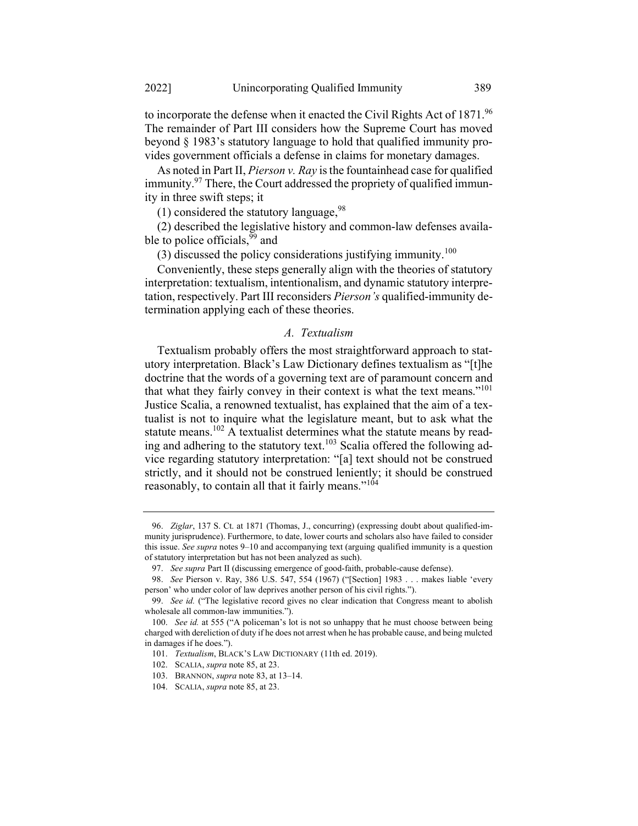to incorporate the defense when it enacted the Civil Rights Act of 1871.96 The remainder of Part III considers how the Supreme Court has moved beyond § 1983's statutory language to hold that qualified immunity provides government officials a defense in claims for monetary damages.

As noted in Part II, *Pierson v. Ray* is the fountainhead case for qualified immunity.<sup>97</sup> There, the Court addressed the propriety of qualified immunity in three swift steps; it

(1) considered the statutory language,  $98$ 

(2) described the legislative history and common-law defenses available to police officials,<sup>99</sup> and

(3) discussed the policy considerations justifying immunity.<sup>100</sup>

Conveniently, these steps generally align with the theories of statutory interpretation: textualism, intentionalism, and dynamic statutory interpretation, respectively. Part III reconsiders *Pierson's* qualified-immunity determination applying each of these theories.

# A. Textualism

Textualism probably offers the most straightforward approach to statutory interpretation. Black's Law Dictionary defines textualism as "[t]he doctrine that the words of a governing text are of paramount concern and that what they fairly convey in their context is what the text means."<sup>101</sup> Justice Scalia, a renowned textualist, has explained that the aim of a textualist is not to inquire what the legislature meant, but to ask what the statute means.<sup>102</sup> A textualist determines what the statute means by reading and adhering to the statutory text.<sup>103</sup> Scalia offered the following advice regarding statutory interpretation: "[a] text should not be construed strictly, and it should not be construed leniently; it should be construed reasonably, to contain all that it fairly means." $104$ 

<sup>96.</sup> Ziglar, 137 S. Ct. at 1871 (Thomas, J., concurring) (expressing doubt about qualified-immunity jurisprudence). Furthermore, to date, lower courts and scholars also have failed to consider this issue. See supra notes 9–10 and accompanying text (arguing qualified immunity is a question of statutory interpretation but has not been analyzed as such).

<sup>97.</sup> See supra Part II (discussing emergence of good-faith, probable-cause defense).

<sup>98.</sup> See Pierson v. Ray, 386 U.S. 547, 554 (1967) ("[Section] 1983 . . . makes liable 'every person' who under color of law deprives another person of his civil rights.").

<sup>99.</sup> See id. ("The legislative record gives no clear indication that Congress meant to abolish wholesale all common-law immunities.").

<sup>100.</sup> See id. at 555 ("A policeman's lot is not so unhappy that he must choose between being charged with dereliction of duty if he does not arrest when he has probable cause, and being mulcted in damages if he does.").

<sup>101.</sup> Textualism, BLACK'S LAW DICTIONARY (11th ed. 2019).

<sup>102.</sup> SCALIA, supra note 85, at 23.

<sup>103.</sup> BRANNON, supra note 83, at 13–14.

<sup>104.</sup> SCALIA, supra note 85, at 23.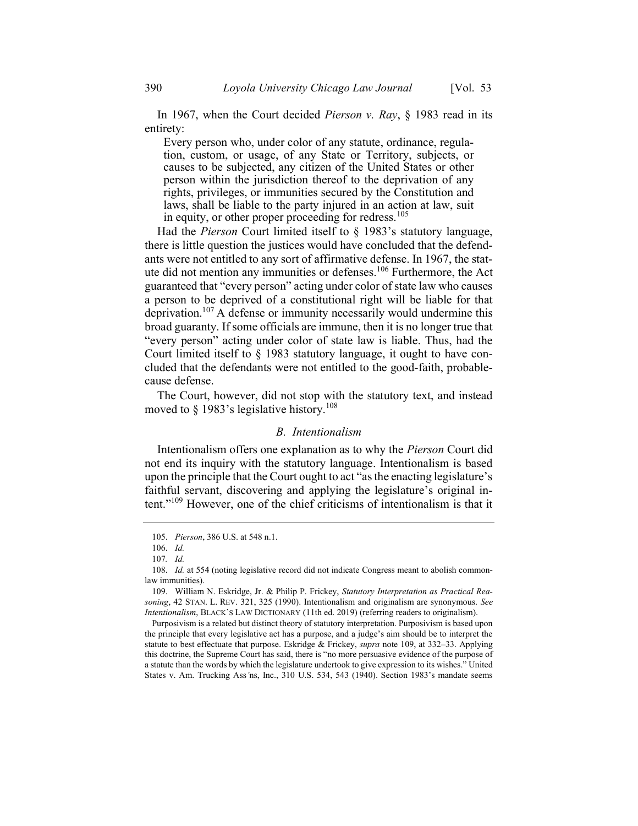In 1967, when the Court decided Pierson v. Ray, § 1983 read in its entirety:

Every person who, under color of any statute, ordinance, regulation, custom, or usage, of any State or Territory, subjects, or causes to be subjected, any citizen of the United States or other person within the jurisdiction thereof to the deprivation of any rights, privileges, or immunities secured by the Constitution and laws, shall be liable to the party injured in an action at law, suit in equity, or other proper proceeding for redress.<sup>105</sup>

Had the *Pierson* Court limited itself to  $\S$  1983's statutory language, there is little question the justices would have concluded that the defendants were not entitled to any sort of affirmative defense. In 1967, the statute did not mention any immunities or defenses.<sup>106</sup> Furthermore, the Act guaranteed that "every person" acting under color of state law who causes a person to be deprived of a constitutional right will be liable for that deprivation.<sup>107</sup> A defense or immunity necessarily would undermine this broad guaranty. If some officials are immune, then it is no longer true that "every person" acting under color of state law is liable. Thus, had the Court limited itself to § 1983 statutory language, it ought to have concluded that the defendants were not entitled to the good-faith, probablecause defense.

The Court, however, did not stop with the statutory text, and instead moved to § 1983's legislative history.<sup>108</sup>

#### B. Intentionalism

Intentionalism offers one explanation as to why the Pierson Court did not end its inquiry with the statutory language. Intentionalism is based upon the principle that the Court ought to act "as the enacting legislature's faithful servant, discovering and applying the legislature's original intent."<sup>109</sup> However, one of the chief criticisms of intentionalism is that it

 Purposivism is a related but distinct theory of statutory interpretation. Purposivism is based upon the principle that every legislative act has a purpose, and a judge's aim should be to interpret the statute to best effectuate that purpose. Eskridge & Frickey, *supra* note 109, at  $332-33$ . Applying this doctrine, the Supreme Court has said, there is "no more persuasive evidence of the purpose of a statute than the words by which the legislature undertook to give expression to its wishes." United States v. Am. Trucking Ass'ns, Inc., 310 U.S. 534, 543 (1940). Section 1983's mandate seems

<sup>105.</sup> Pierson, 386 U.S. at 548 n.1.

<sup>106.</sup> Id.

<sup>107</sup>. Id.

<sup>108.</sup> *Id.* at 554 (noting legislative record did not indicate Congress meant to abolish commonlaw immunities).

<sup>109.</sup> William N. Eskridge, Jr. & Philip P. Frickey, Statutory Interpretation as Practical Reasoning, 42 STAN. L. REV. 321, 325 (1990). Intentionalism and originalism are synonymous. See Intentionalism, BLACK'S LAW DICTIONARY (11th ed. 2019) (referring readers to originalism).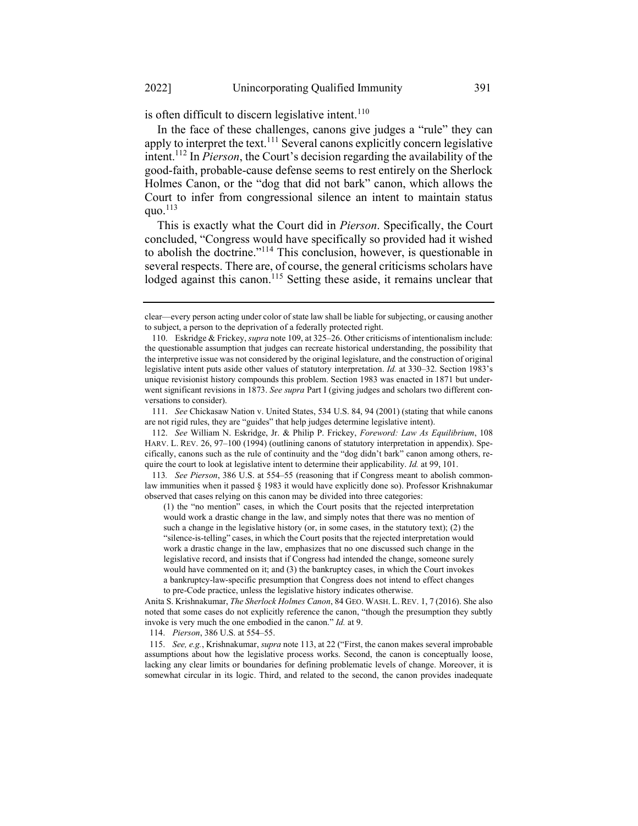is often difficult to discern legislative intent.<sup>110</sup>

In the face of these challenges, canons give judges a "rule" they can apply to interpret the text.<sup>111</sup> Several canons explicitly concern legislative intent.<sup>112</sup> In *Pierson*, the Court's decision regarding the availability of the good-faith, probable-cause defense seems to rest entirely on the Sherlock Holmes Canon, or the "dog that did not bark" canon, which allows the Court to infer from congressional silence an intent to maintain status quo. $^{113}$ 

This is exactly what the Court did in Pierson. Specifically, the Court concluded, "Congress would have specifically so provided had it wished to abolish the doctrine."<sup>114</sup> This conclusion, however, is questionable in several respects. There are, of course, the general criticisms scholars have lodged against this canon.<sup>115</sup> Setting these aside, it remains unclear that

111. See Chickasaw Nation v. United States, 534 U.S. 84, 94 (2001) (stating that while canons are not rigid rules, they are "guides" that help judges determine legislative intent).

112. See William N. Eskridge, Jr. & Philip P. Frickey, Foreword: Law As Equilibrium, 108 HARV. L. REV. 26, 97–100 (1994) (outlining canons of statutory interpretation in appendix). Specifically, canons such as the rule of continuity and the "dog didn't bark" canon among others, require the court to look at legislative intent to determine their applicability. *Id.* at 99, 101.

113. See Pierson, 386 U.S. at 554–55 (reasoning that if Congress meant to abolish commonlaw immunities when it passed § 1983 it would have explicitly done so). Professor Krishnakumar observed that cases relying on this canon may be divided into three categories:

(1) the "no mention" cases, in which the Court posits that the rejected interpretation would work a drastic change in the law, and simply notes that there was no mention of such a change in the legislative history (or, in some cases, in the statutory text); (2) the "silence-is-telling" cases, in which the Court posits that the rejected interpretation would work a drastic change in the law, emphasizes that no one discussed such change in the legislative record, and insists that if Congress had intended the change, someone surely would have commented on it; and (3) the bankruptcy cases, in which the Court invokes a bankruptcy-law-specific presumption that Congress does not intend to effect changes to pre-Code practice, unless the legislative history indicates otherwise.

Anita S. Krishnakumar, The Sherlock Holmes Canon, 84 GEO. WASH. L. REV. 1, 7 (2016). She also noted that some cases do not explicitly reference the canon, "though the presumption they subtly invoke is very much the one embodied in the canon." Id. at 9.

114. Pierson, 386 U.S. at 554–55.

115. See, e.g., Krishnakumar, supra note 113, at 22 ("First, the canon makes several improbable assumptions about how the legislative process works. Second, the canon is conceptually loose, lacking any clear limits or boundaries for defining problematic levels of change. Moreover, it is somewhat circular in its logic. Third, and related to the second, the canon provides inadequate

clear—every person acting under color of state law shall be liable for subjecting, or causing another to subject, a person to the deprivation of a federally protected right.

<sup>110.</sup> Eskridge & Frickey, supra note 109, at 325–26. Other criticisms of intentionalism include: the questionable assumption that judges can recreate historical understanding, the possibility that the interpretive issue was not considered by the original legislature, and the construction of original legislative intent puts aside other values of statutory interpretation. *Id.* at 330–32. Section 1983's unique revisionist history compounds this problem. Section 1983 was enacted in 1871 but underwent significant revisions in 1873. See supra Part I (giving judges and scholars two different conversations to consider).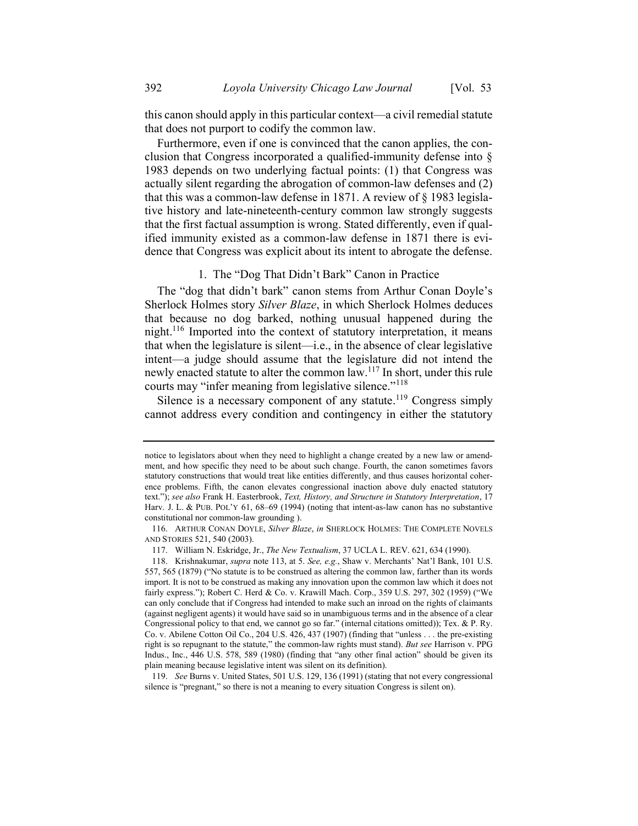this canon should apply in this particular context—a civil remedial statute that does not purport to codify the common law.

Furthermore, even if one is convinced that the canon applies, the conclusion that Congress incorporated a qualified-immunity defense into § 1983 depends on two underlying factual points: (1) that Congress was actually silent regarding the abrogation of common-law defenses and (2) that this was a common-law defense in 1871. A review of § 1983 legislative history and late-nineteenth-century common law strongly suggests that the first factual assumption is wrong. Stated differently, even if qualified immunity existed as a common-law defense in 1871 there is evidence that Congress was explicit about its intent to abrogate the defense.

# 1. The "Dog That Didn't Bark" Canon in Practice

The "dog that didn't bark" canon stems from Arthur Conan Doyle's Sherlock Holmes story Silver Blaze, in which Sherlock Holmes deduces that because no dog barked, nothing unusual happened during the night.<sup>116</sup> Imported into the context of statutory interpretation, it means that when the legislature is silent—i.e., in the absence of clear legislative intent—a judge should assume that the legislature did not intend the newly enacted statute to alter the common law.<sup>117</sup> In short, under this rule courts may "infer meaning from legislative silence."<sup>118</sup>

Silence is a necessary component of any statute.<sup>119</sup> Congress simply cannot address every condition and contingency in either the statutory

notice to legislators about when they need to highlight a change created by a new law or amendment, and how specific they need to be about such change. Fourth, the canon sometimes favors statutory constructions that would treat like entities differently, and thus causes horizontal coherence problems. Fifth, the canon elevates congressional inaction above duly enacted statutory text."); see also Frank H. Easterbrook, Text, History, and Structure in Statutory Interpretation, 17 Harv. J. L. & PUB. POL'Y 61, 68–69 (1994) (noting that intent-as-law canon has no substantive constitutional nor common-law grounding ).

<sup>116.</sup> ARTHUR CONAN DOYLE, Silver Blaze, in SHERLOCK HOLMES: THE COMPLETE NOVELS AND STORIES 521, 540 (2003).

<sup>117.</sup> William N. Eskridge, Jr., The New Textualism, 37 UCLA L. REV. 621, 634 (1990).

<sup>118.</sup> Krishnakumar, supra note 113, at 5. See, e.g., Shaw v. Merchants' Nat'l Bank, 101 U.S. 557, 565 (1879) ("No statute is to be construed as altering the common law, farther than its words import. It is not to be construed as making any innovation upon the common law which it does not fairly express."); Robert C. Herd & Co. v. Krawill Mach. Corp., 359 U.S. 297, 302 (1959) ("We can only conclude that if Congress had intended to make such an inroad on the rights of claimants (against negligent agents) it would have said so in unambiguous terms and in the absence of a clear Congressional policy to that end, we cannot go so far." (internal citations omitted)); Tex. & P. Ry. Co. v. Abilene Cotton Oil Co., 204 U.S. 426, 437 (1907) (finding that "unless . . . the pre-existing right is so repugnant to the statute," the common-law rights must stand). But see Harrison v. PPG Indus., Inc., 446 U.S. 578, 589 (1980) (finding that "any other final action" should be given its plain meaning because legislative intent was silent on its definition).

<sup>119.</sup> See Burns v. United States, 501 U.S. 129, 136 (1991) (stating that not every congressional silence is "pregnant," so there is not a meaning to every situation Congress is silent on).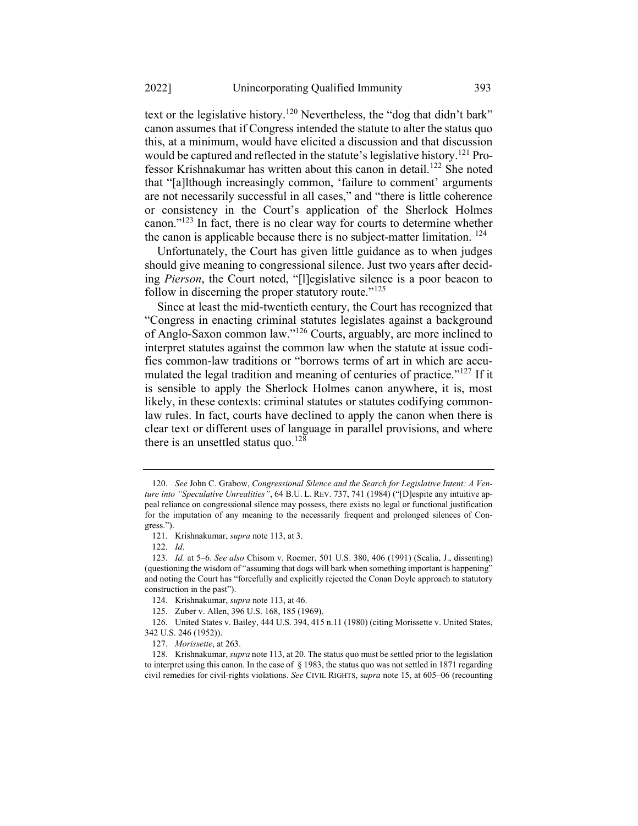text or the legislative history.<sup>120</sup> Nevertheless, the "dog that didn't bark" canon assumes that if Congress intended the statute to alter the status quo this, at a minimum, would have elicited a discussion and that discussion would be captured and reflected in the statute's legislative history.<sup>121</sup> Professor Krishnakumar has written about this canon in detail.<sup>122</sup> She noted that "[a]lthough increasingly common, 'failure to comment' arguments are not necessarily successful in all cases," and "there is little coherence or consistency in the Court's application of the Sherlock Holmes canon."<sup>123</sup> In fact, there is no clear way for courts to determine whether the canon is applicable because there is no subject-matter limitation.  $^{124}$ 

Unfortunately, the Court has given little guidance as to when judges should give meaning to congressional silence. Just two years after deciding Pierson, the Court noted, "[l]egislative silence is a poor beacon to follow in discerning the proper statutory route." $125$ 

Since at least the mid-twentieth century, the Court has recognized that "Congress in enacting criminal statutes legislates against a background of Anglo-Saxon common law."<sup>126</sup> Courts, arguably, are more inclined to interpret statutes against the common law when the statute at issue codifies common-law traditions or "borrows terms of art in which are accumulated the legal tradition and meaning of centuries of practice."<sup>127</sup> If it is sensible to apply the Sherlock Holmes canon anywhere, it is, most likely, in these contexts: criminal statutes or statutes codifying commonlaw rules. In fact, courts have declined to apply the canon when there is clear text or different uses of language in parallel provisions, and where there is an unsettled status quo.<sup>128</sup>

<sup>120.</sup> See John C. Grabow, Congressional Silence and the Search for Legislative Intent: A Venture into "Speculative Unrealities", 64 B.U. L. REV. 737, 741 (1984) ("[D]espite any intuitive appeal reliance on congressional silence may possess, there exists no legal or functional justification for the imputation of any meaning to the necessarily frequent and prolonged silences of Congress.").

<sup>121.</sup> Krishnakumar, supra note 113, at 3.

<sup>122.</sup> Id.

<sup>123.</sup> Id. at 5–6. See also Chisom v. Roemer, 501 U.S. 380, 406 (1991) (Scalia, J., dissenting) (questioning the wisdom of "assuming that dogs will bark when something important is happening" and noting the Court has "forcefully and explicitly rejected the Conan Doyle approach to statutory construction in the past").

<sup>124.</sup> Krishnakumar, supra note 113, at 46.

<sup>125.</sup> Zuber v. Allen, 396 U.S. 168, 185 (1969).

<sup>126.</sup> United States v. Bailey, 444 U.S. 394, 415 n.11 (1980) (citing Morissette v. United States, 342 U.S. 246 (1952)).

<sup>127.</sup> Morissette, at 263.

<sup>128.</sup> Krishnakumar, supra note 113, at 20. The status quo must be settled prior to the legislation to interpret using this canon. In the case of § 1983, the status quo was not settled in 1871 regarding civil remedies for civil-rights violations. See CIVIL RIGHTS, supra note 15, at 605–06 (recounting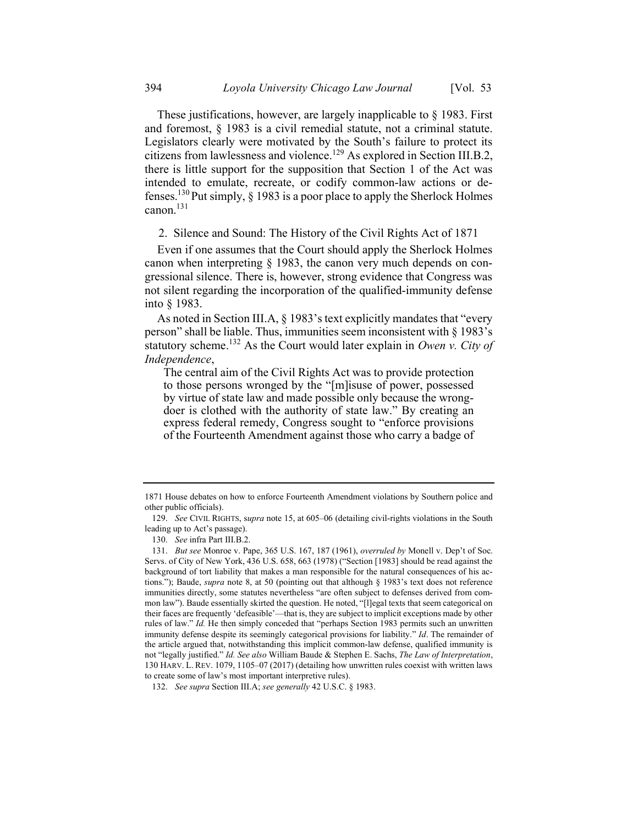These justifications, however, are largely inapplicable to § 1983. First and foremost, § 1983 is a civil remedial statute, not a criminal statute. Legislators clearly were motivated by the South's failure to protect its citizens from lawlessness and violence.<sup>129</sup> As explored in Section III.B.2, there is little support for the supposition that Section 1 of the Act was intended to emulate, recreate, or codify common-law actions or defenses.<sup>130</sup> Put simply,  $\S$  1983 is a poor place to apply the Sherlock Holmes canon.<sup>131</sup>

2. Silence and Sound: The History of the Civil Rights Act of 1871

Even if one assumes that the Court should apply the Sherlock Holmes canon when interpreting § 1983, the canon very much depends on congressional silence. There is, however, strong evidence that Congress was not silent regarding the incorporation of the qualified-immunity defense into § 1983.

As noted in Section III.A, § 1983's text explicitly mandates that "every person" shall be liable. Thus, immunities seem inconsistent with § 1983's statutory scheme.<sup>132</sup> As the Court would later explain in Owen v. City of Independence,

The central aim of the Civil Rights Act was to provide protection to those persons wronged by the "[m]isuse of power, possessed by virtue of state law and made possible only because the wrongdoer is clothed with the authority of state law." By creating an express federal remedy, Congress sought to "enforce provisions of the Fourteenth Amendment against those who carry a badge of

<sup>1871</sup> House debates on how to enforce Fourteenth Amendment violations by Southern police and other public officials).

<sup>129.</sup> See CIVIL RIGHTS, supra note 15, at 605–06 (detailing civil-rights violations in the South leading up to Act's passage).

<sup>130.</sup> See infra Part III.B.2.

<sup>131.</sup> But see Monroe v. Pape, 365 U.S. 167, 187 (1961), overruled by Monell v. Dep't of Soc. Servs. of City of New York, 436 U.S. 658, 663 (1978) ("Section [1983] should be read against the background of tort liability that makes a man responsible for the natural consequences of his actions."); Baude, *supra* note 8, at 50 (pointing out that although § 1983's text does not reference immunities directly, some statutes nevertheless "are often subject to defenses derived from common law"). Baude essentially skirted the question. He noted, "[l]egal texts that seem categorical on their faces are frequently 'defeasible'—that is, they are subject to implicit exceptions made by other rules of law." Id. He then simply conceded that "perhaps Section 1983 permits such an unwritten immunity defense despite its seemingly categorical provisions for liability." Id. The remainder of the article argued that, notwithstanding this implicit common-law defense, qualified immunity is not "legally justified." Id. See also William Baude & Stephen E. Sachs, The Law of Interpretation, 130 HARV. L. REV. 1079, 1105–07 (2017) (detailing how unwritten rules coexist with written laws to create some of law's most important interpretive rules).

<sup>132.</sup> See supra Section III.A; see generally 42 U.S.C. § 1983.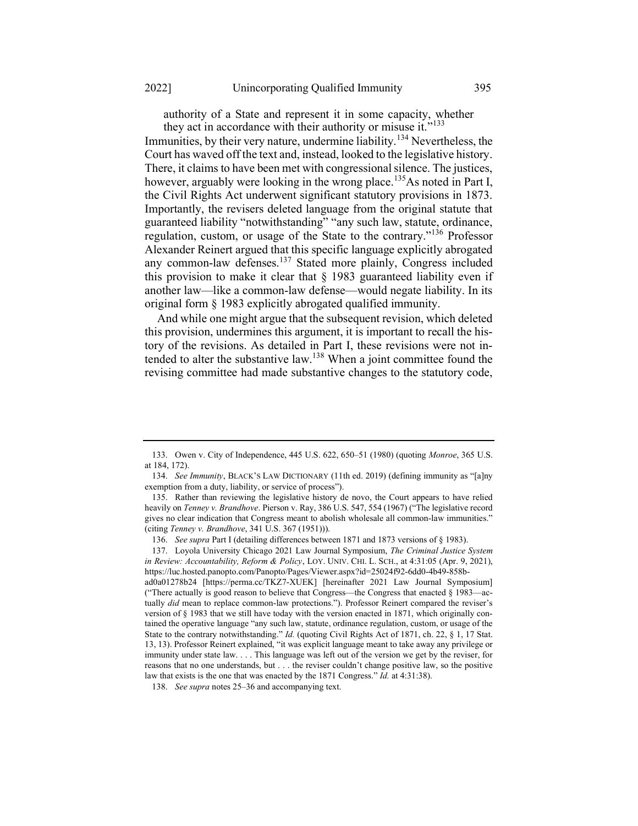authority of a State and represent it in some capacity, whether they act in accordance with their authority or misuse it."<sup>133</sup>

Immunities, by their very nature, undermine liability.<sup>134</sup> Nevertheless, the Court has waved off the text and, instead, looked to the legislative history. There, it claims to have been met with congressional silence. The justices, however, arguably were looking in the wrong place.<sup>135</sup>As noted in Part I, the Civil Rights Act underwent significant statutory provisions in 1873. Importantly, the revisers deleted language from the original statute that guaranteed liability "notwithstanding" "any such law, statute, ordinance, regulation, custom, or usage of the State to the contrary."<sup>136</sup> Professor Alexander Reinert argued that this specific language explicitly abrogated any common-law defenses.<sup>137</sup> Stated more plainly, Congress included this provision to make it clear that  $\S$  1983 guaranteed liability even if another law—like a common-law defense—would negate liability. In its original form § 1983 explicitly abrogated qualified immunity.

And while one might argue that the subsequent revision, which deleted this provision, undermines this argument, it is important to recall the history of the revisions. As detailed in Part I, these revisions were not intended to alter the substantive law.<sup>138</sup> When a joint committee found the revising committee had made substantive changes to the statutory code,

<sup>133.</sup> Owen v. City of Independence, 445 U.S. 622, 650–51 (1980) (quoting Monroe, 365 U.S. at 184, 172).

<sup>134.</sup> See Immunity, BLACK'S LAW DICTIONARY (11th ed. 2019) (defining immunity as "[a]ny exemption from a duty, liability, or service of process").

<sup>135.</sup> Rather than reviewing the legislative history de novo, the Court appears to have relied heavily on Tenney v. Brandhove. Pierson v. Ray, 386 U.S. 547, 554 (1967) ("The legislative record gives no clear indication that Congress meant to abolish wholesale all common-law immunities." (citing Tenney v. Brandhove, 341 U.S. 367 (1951))).

<sup>136.</sup> See supra Part I (detailing differences between 1871 and 1873 versions of § 1983).

<sup>137.</sup> Loyola University Chicago 2021 Law Journal Symposium, The Criminal Justice System in Review: Accountability, Reform & Policy, LOY. UNIV. CHI. L. SCH., at 4:31:05 (Apr. 9, 2021), https://luc.hosted.panopto.com/Panopto/Pages/Viewer.aspx?id=25024f92-6dd0-4b49-858b-

ad0a01278b24 [https://perma.cc/TKZ7-XUEK] [hereinafter 2021 Law Journal Symposium] ("There actually is good reason to believe that Congress—the Congress that enacted  $\S 1983$ —actually did mean to replace common-law protections."). Professor Reinert compared the reviser's version of § 1983 that we still have today with the version enacted in 1871, which originally contained the operative language "any such law, statute, ordinance regulation, custom, or usage of the State to the contrary notwithstanding." Id. (quoting Civil Rights Act of 1871, ch. 22, § 1, 17 Stat. 13, 13). Professor Reinert explained, "it was explicit language meant to take away any privilege or immunity under state law. . . . This language was left out of the version we get by the reviser, for reasons that no one understands, but . . . the reviser couldn't change positive law, so the positive law that exists is the one that was enacted by the 1871 Congress." Id. at 4:31:38).

<sup>138.</sup> See supra notes 25–36 and accompanying text.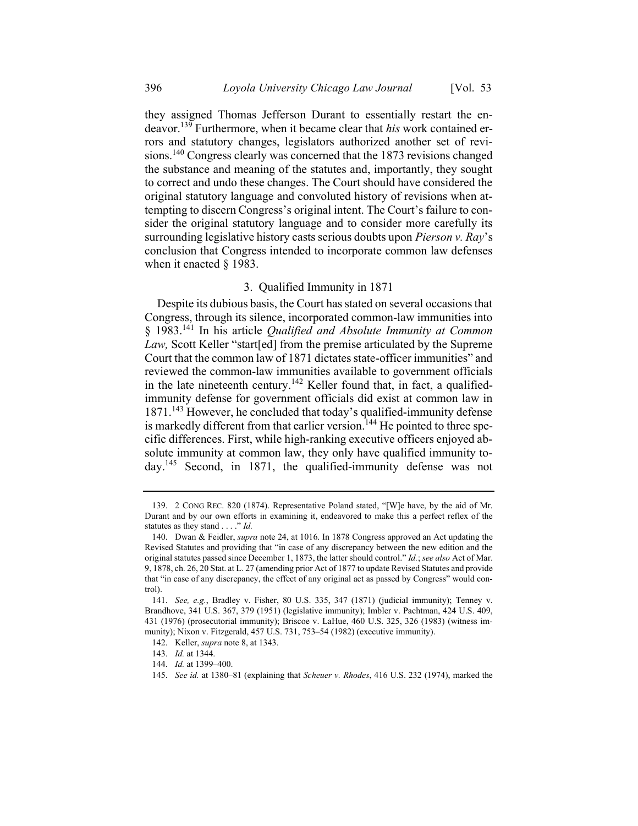they assigned Thomas Jefferson Durant to essentially restart the endeavor.<sup>139</sup> Furthermore, when it became clear that his work contained errors and statutory changes, legislators authorized another set of revisions.<sup>140</sup> Congress clearly was concerned that the 1873 revisions changed the substance and meaning of the statutes and, importantly, they sought to correct and undo these changes. The Court should have considered the original statutory language and convoluted history of revisions when attempting to discern Congress's original intent. The Court's failure to consider the original statutory language and to consider more carefully its surrounding legislative history casts serious doubts upon *Pierson v. Ray's* conclusion that Congress intended to incorporate common law defenses when it enacted § 1983.

# 3. Qualified Immunity in 1871

Despite its dubious basis, the Court has stated on several occasions that Congress, through its silence, incorporated common-law immunities into  $\S$  1983.<sup>141</sup> In his article *Qualified and Absolute Immunity at Common* Law, Scott Keller "start[ed] from the premise articulated by the Supreme Court that the common law of 1871 dictates state-officer immunities" and reviewed the common-law immunities available to government officials in the late nineteenth century.<sup>142</sup> Keller found that, in fact, a qualifiedimmunity defense for government officials did exist at common law in 1871.<sup>143</sup> However, he concluded that today's qualified-immunity defense is markedly different from that earlier version.<sup>144</sup> He pointed to three specific differences. First, while high-ranking executive officers enjoyed absolute immunity at common law, they only have qualified immunity today.<sup>145</sup> Second, in 1871, the qualified-immunity defense was not

<sup>139. 2</sup> CONG REC. 820 (1874). Representative Poland stated, "[W]e have, by the aid of Mr. Durant and by our own efforts in examining it, endeavored to make this a perfect reflex of the statutes as they stand . . . ." Id.

<sup>140.</sup> Dwan & Feidler, supra note 24, at 1016. In 1878 Congress approved an Act updating the Revised Statutes and providing that "in case of any discrepancy between the new edition and the original statutes passed since December 1, 1873, the latter should control." *Id.; see also* Act of Mar. 9, 1878, ch. 26, 20 Stat. at L. 27 (amending prior Act of 1877 to update Revised Statutes and provide that "in case of any discrepancy, the effect of any original act as passed by Congress" would control).

<sup>141.</sup> See, e.g., Bradley v. Fisher, 80 U.S. 335, 347 (1871) (judicial immunity); Tenney v. Brandhove, 341 U.S. 367, 379 (1951) (legislative immunity); Imbler v. Pachtman, 424 U.S. 409, 431 (1976) (prosecutorial immunity); Briscoe v. LaHue, 460 U.S. 325, 326 (1983) (witness immunity); Nixon v. Fitzgerald, 457 U.S. 731, 753–54 (1982) (executive immunity).

<sup>142.</sup> Keller, supra note 8, at 1343.

<sup>143.</sup> Id. at 1344.

<sup>144.</sup> Id. at 1399–400.

<sup>145.</sup> See id. at 1380–81 (explaining that Scheuer v. Rhodes, 416 U.S. 232 (1974), marked the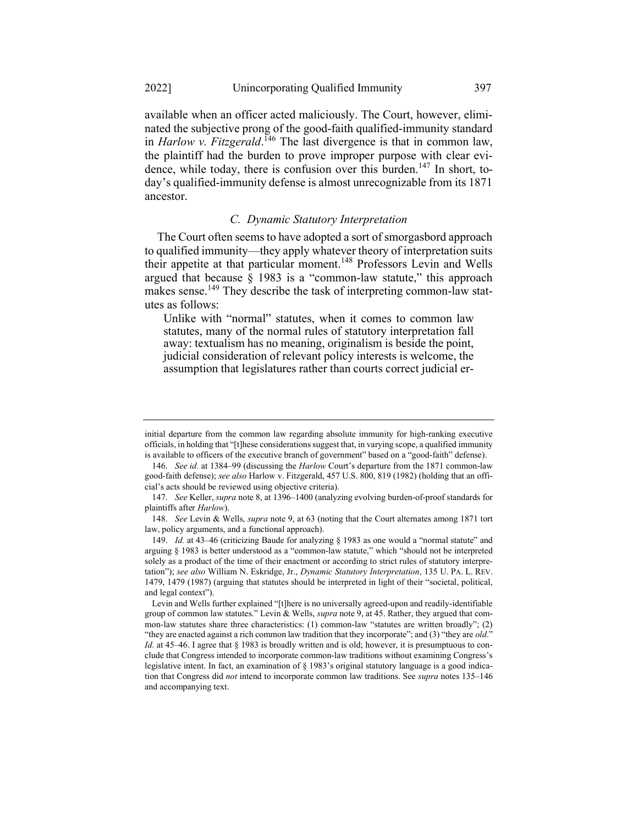available when an officer acted maliciously. The Court, however, eliminated the subjective prong of the good-faith qualified-immunity standard in Harlow v. Fitzgerald.<sup>146</sup> The last divergence is that in common law, the plaintiff had the burden to prove improper purpose with clear evidence, while today, there is confusion over this burden.<sup>147</sup> In short, today's qualified-immunity defense is almost unrecognizable from its 1871 ancestor.

# C. Dynamic Statutory Interpretation

The Court often seems to have adopted a sort of smorgasbord approach to qualified immunity—they apply whatever theory of interpretation suits their appetite at that particular moment.<sup>148</sup> Professors Levin and Wells argued that because  $\hat{\S}$  1983 is a "common-law statute," this approach makes sense.<sup>149</sup> They describe the task of interpreting common-law statutes as follows:

Unlike with "normal" statutes, when it comes to common law statutes, many of the normal rules of statutory interpretation fall away: textualism has no meaning, originalism is beside the point, judicial consideration of relevant policy interests is welcome, the assumption that legislatures rather than courts correct judicial er-

initial departure from the common law regarding absolute immunity for high-ranking executive officials, in holding that "[t]hese considerations suggest that, in varying scope, a qualified immunity is available to officers of the executive branch of government" based on a "good-faith" defense).

<sup>146.</sup> See id. at 1384–99 (discussing the Harlow Court's departure from the 1871 common-law good-faith defense); see also Harlow v. Fitzgerald, 457 U.S. 800, 819 (1982) (holding that an official's acts should be reviewed using objective criteria).

<sup>147.</sup> See Keller, supra note 8, at 1396–1400 (analyzing evolving burden-of-proof standards for plaintiffs after Harlow).

<sup>148.</sup> See Levin & Wells, *supra* note 9, at 63 (noting that the Court alternates among 1871 tort law, policy arguments, and a functional approach).

<sup>149.</sup> Id. at 43–46 (criticizing Baude for analyzing § 1983 as one would a "normal statute" and arguing § 1983 is better understood as a "common-law statute," which "should not be interpreted solely as a product of the time of their enactment or according to strict rules of statutory interpretation"); see also William N. Eskridge, Jr., Dynamic Statutory Interpretation, 135 U. PA. L. REV. 1479, 1479 (1987) (arguing that statutes should be interpreted in light of their "societal, political, and legal context").

Levin and Wells further explained "[t]here is no universally agreed-upon and readily-identifiable group of common law statutes." Levin & Wells, *supra* note 9, at 45. Rather, they argued that common-law statutes share three characteristics: (1) common-law "statutes are written broadly"; (2) "they are enacted against a rich common law tradition that they incorporate"; and (3) "they are old." Id. at  $45-46$ . I agree that § 1983 is broadly written and is old; however, it is presumptuous to conclude that Congress intended to incorporate common-law traditions without examining Congress's legislative intent. In fact, an examination of § 1983's original statutory language is a good indication that Congress did *not* intend to incorporate common law traditions. See *supra* notes 135–146 and accompanying text.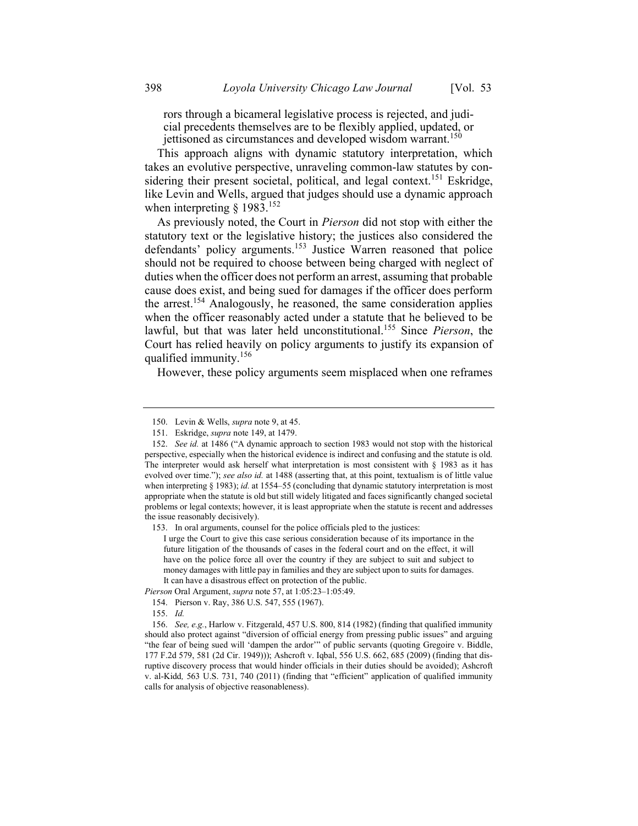rors through a bicameral legislative process is rejected, and judicial precedents themselves are to be flexibly applied, updated, or

jettisoned as circumstances and developed wisdom warrant.<sup>150</sup>

This approach aligns with dynamic statutory interpretation, which takes an evolutive perspective, unraveling common-law statutes by considering their present societal, political, and legal context.<sup>151</sup> Eskridge, like Levin and Wells, argued that judges should use a dynamic approach when interpreting  $\S$  1983.<sup>152</sup>

As previously noted, the Court in Pierson did not stop with either the statutory text or the legislative history; the justices also considered the defendants' policy arguments.<sup>153</sup> Justice Warren reasoned that police should not be required to choose between being charged with neglect of duties when the officer does not perform an arrest, assuming that probable cause does exist, and being sued for damages if the officer does perform the arrest.<sup>154</sup> Analogously, he reasoned, the same consideration applies when the officer reasonably acted under a statute that he believed to be lawful, but that was later held unconstitutional.<sup>155</sup> Since Pierson, the Court has relied heavily on policy arguments to justify its expansion of qualified immunity.<sup>156</sup>

However, these policy arguments seem misplaced when one reframes

Pierson Oral Argument, supra note 57, at 1:05:23–1:05:49.

<sup>150.</sup> Levin & Wells, supra note 9, at 45.

<sup>151.</sup> Eskridge, supra note 149, at 1479.

<sup>152.</sup> See id. at 1486 ("A dynamic approach to section 1983 would not stop with the historical perspective, especially when the historical evidence is indirect and confusing and the statute is old. The interpreter would ask herself what interpretation is most consistent with  $\S$  1983 as it has evolved over time."); see also id. at 1488 (asserting that, at this point, textualism is of little value when interpreting § 1983); id. at 1554–55 (concluding that dynamic statutory interpretation is most appropriate when the statute is old but still widely litigated and faces significantly changed societal problems or legal contexts; however, it is least appropriate when the statute is recent and addresses the issue reasonably decisively).

<sup>153.</sup> In oral arguments, counsel for the police officials pled to the justices:

I urge the Court to give this case serious consideration because of its importance in the future litigation of the thousands of cases in the federal court and on the effect, it will have on the police force all over the country if they are subject to suit and subject to money damages with little pay in families and they are subject upon to suits for damages. It can have a disastrous effect on protection of the public.

<sup>154.</sup> Pierson v. Ray, 386 U.S. 547, 555 (1967).

<sup>155.</sup> Id.

<sup>156.</sup> See, e.g., Harlow v. Fitzgerald, 457 U.S. 800, 814 (1982) (finding that qualified immunity should also protect against "diversion of official energy from pressing public issues" and arguing "the fear of being sued will 'dampen the ardor'" of public servants (quoting Gregoire v. Biddle, 177 F.2d 579, 581 (2d Cir. 1949))); Ashcroft v. Iqbal, 556 U.S. 662, 685 (2009) (finding that disruptive discovery process that would hinder officials in their duties should be avoided); Ashcroft v. al-Kidd, 563 U.S. 731, 740 (2011) (finding that "efficient" application of qualified immunity calls for analysis of objective reasonableness).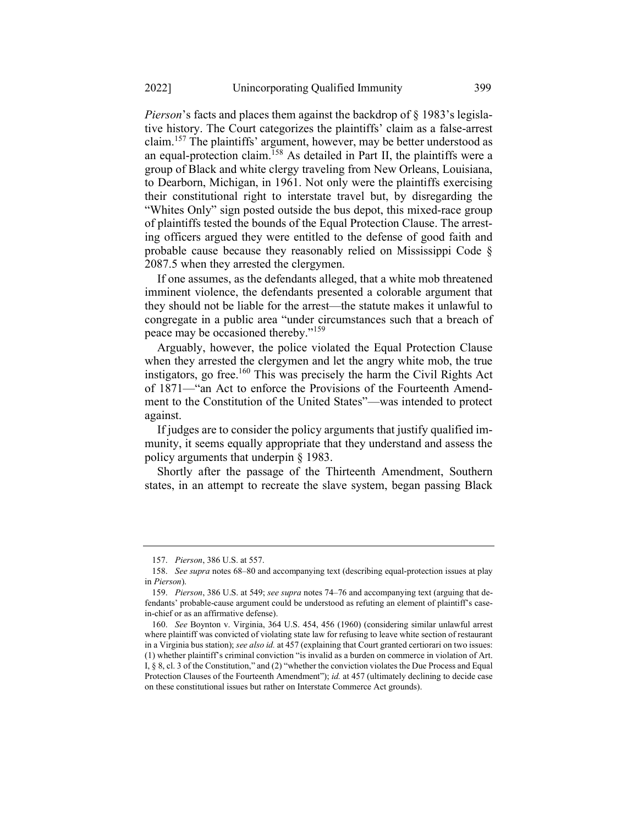Pierson's facts and places them against the backdrop of § 1983's legislative history. The Court categorizes the plaintiffs' claim as a false-arrest claim.<sup>157</sup> The plaintiffs' argument, however, may be better understood as an equal-protection claim.<sup>158</sup> As detailed in Part II, the plaintiffs were a group of Black and white clergy traveling from New Orleans, Louisiana, to Dearborn, Michigan, in 1961. Not only were the plaintiffs exercising their constitutional right to interstate travel but, by disregarding the "Whites Only" sign posted outside the bus depot, this mixed-race group of plaintiffs tested the bounds of the Equal Protection Clause. The arresting officers argued they were entitled to the defense of good faith and probable cause because they reasonably relied on Mississippi Code § 2087.5 when they arrested the clergymen.

If one assumes, as the defendants alleged, that a white mob threatened imminent violence, the defendants presented a colorable argument that they should not be liable for the arrest—the statute makes it unlawful to congregate in a public area "under circumstances such that a breach of peace may be occasioned thereby."<sup>159</sup>

Arguably, however, the police violated the Equal Protection Clause when they arrested the clergymen and let the angry white mob, the true instigators, go free.<sup>160</sup> This was precisely the harm the Civil Rights Act of 1871—"an Act to enforce the Provisions of the Fourteenth Amendment to the Constitution of the United States"—was intended to protect against.

If judges are to consider the policy arguments that justify qualified immunity, it seems equally appropriate that they understand and assess the policy arguments that underpin § 1983.

Shortly after the passage of the Thirteenth Amendment, Southern states, in an attempt to recreate the slave system, began passing Black

<sup>157.</sup> Pierson, 386 U.S. at 557.

<sup>158.</sup> See supra notes 68–80 and accompanying text (describing equal-protection issues at play in Pierson).

<sup>159.</sup> Pierson, 386 U.S. at 549; see supra notes 74–76 and accompanying text (arguing that defendants' probable-cause argument could be understood as refuting an element of plaintiff's casein-chief or as an affirmative defense).

<sup>160.</sup> See Boynton v. Virginia, 364 U.S. 454, 456 (1960) (considering similar unlawful arrest where plaintiff was convicted of violating state law for refusing to leave white section of restaurant in a Virginia bus station); see also id. at 457 (explaining that Court granted certiorari on two issues: (1) whether plaintiff's criminal conviction "is invalid as a burden on commerce in violation of Art. I, § 8, cl. 3 of the Constitution," and (2) "whether the conviction violates the Due Process and Equal Protection Clauses of the Fourteenth Amendment"); id. at 457 (ultimately declining to decide case on these constitutional issues but rather on Interstate Commerce Act grounds).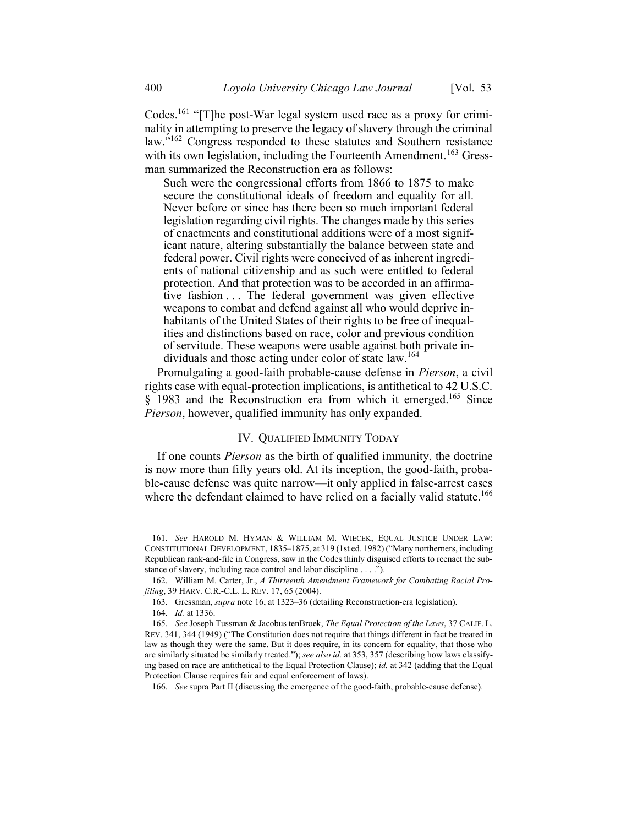Codes.<sup>161</sup> "[T]he post-War legal system used race as a proxy for criminality in attempting to preserve the legacy of slavery through the criminal law."<sup>162</sup> Congress responded to these statutes and Southern resistance with its own legislation, including the Fourteenth Amendment.<sup>163</sup> Gressman summarized the Reconstruction era as follows:

Such were the congressional efforts from 1866 to 1875 to make secure the constitutional ideals of freedom and equality for all. Never before or since has there been so much important federal legislation regarding civil rights. The changes made by this series of enactments and constitutional additions were of a most significant nature, altering substantially the balance between state and federal power. Civil rights were conceived of as inherent ingredients of national citizenship and as such were entitled to federal protection. And that protection was to be accorded in an affirmative fashion . . . The federal government was given effective weapons to combat and defend against all who would deprive inhabitants of the United States of their rights to be free of inequalities and distinctions based on race, color and previous condition of servitude. These weapons were usable against both private individuals and those acting under color of state law.<sup>164</sup>

Promulgating a good-faith probable-cause defense in Pierson, a civil rights case with equal-protection implications, is antithetical to 42 U.S.C. § 1983 and the Reconstruction era from which it emerged.<sup>165</sup> Since Pierson, however, qualified immunity has only expanded.

# IV. QUALIFIED IMMUNITY TODAY

If one counts *Pierson* as the birth of qualified immunity, the doctrine is now more than fifty years old. At its inception, the good-faith, probable-cause defense was quite narrow—it only applied in false-arrest cases where the defendant claimed to have relied on a facially valid statute.<sup>166</sup>

<sup>161.</sup> See HAROLD M. HYMAN & WILLIAM M. WIECEK, EQUAL JUSTICE UNDER LAW: CONSTITUTIONAL DEVELOPMENT, 1835–1875, at 319 (1st ed. 1982) ("Many northerners, including Republican rank-and-file in Congress, saw in the Codes thinly disguised efforts to reenact the substance of slavery, including race control and labor discipline . . . .").

<sup>162.</sup> William M. Carter, Jr., A Thirteenth Amendment Framework for Combating Racial Profiling, 39 HARV. C.R.-C.L. L. REV. 17, 65 (2004).

<sup>163.</sup> Gressman, supra note 16, at 1323–36 (detailing Reconstruction-era legislation).

<sup>164.</sup> Id. at 1336.

<sup>165.</sup> See Joseph Tussman & Jacobus tenBroek, The Equal Protection of the Laws, 37 CALIF. L. REV. 341, 344 (1949) ("The Constitution does not require that things different in fact be treated in law as though they were the same. But it does require, in its concern for equality, that those who are similarly situated be similarly treated."); see also id. at 353, 357 (describing how laws classifying based on race are antithetical to the Equal Protection Clause); id. at 342 (adding that the Equal Protection Clause requires fair and equal enforcement of laws).

<sup>166.</sup> See supra Part II (discussing the emergence of the good-faith, probable-cause defense).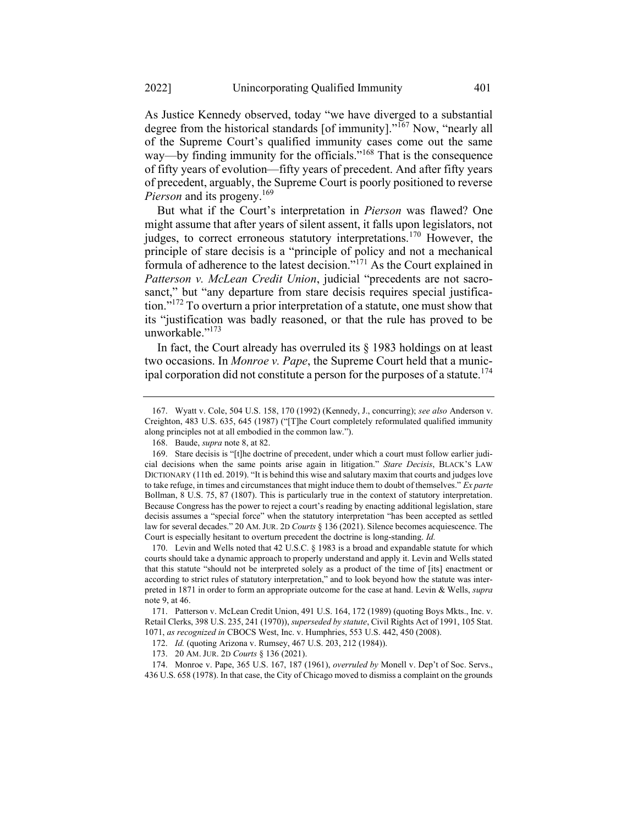As Justice Kennedy observed, today "we have diverged to a substantial degree from the historical standards [of immunity]. $10^{167}$  Now, "nearly all of the Supreme Court's qualified immunity cases come out the same way—by finding immunity for the officials."<sup>168</sup> That is the consequence of fifty years of evolution—fifty years of precedent. And after fifty years of precedent, arguably, the Supreme Court is poorly positioned to reverse *Pierson* and its progeny.<sup>169</sup>

But what if the Court's interpretation in Pierson was flawed? One might assume that after years of silent assent, it falls upon legislators, not judges, to correct erroneous statutory interpretations.<sup>170</sup> However, the principle of stare decisis is a "principle of policy and not a mechanical formula of adherence to the latest decision."<sup>171</sup> As the Court explained in Patterson v. McLean Credit Union, judicial "precedents are not sacrosanct," but "any departure from stare decisis requires special justification."<sup>172</sup> To overturn a prior interpretation of a statute, one must show that its "justification was badly reasoned, or that the rule has proved to be unworkable."<sup>173</sup>

In fact, the Court already has overruled its  $\S$  1983 holdings on at least two occasions. In Monroe v. Pape, the Supreme Court held that a municipal corporation did not constitute a person for the purposes of a statute.<sup>174</sup>

<sup>167.</sup> Wyatt v. Cole, 504 U.S. 158, 170 (1992) (Kennedy, J., concurring); see also Anderson v. Creighton, 483 U.S. 635, 645 (1987) ("[T]he Court completely reformulated qualified immunity along principles not at all embodied in the common law.").

<sup>168.</sup> Baude, supra note 8, at 82.

<sup>169.</sup> Stare decisis is "[t]he doctrine of precedent, under which a court must follow earlier judicial decisions when the same points arise again in litigation." Stare Decisis, BLACK'S LAW DICTIONARY (11th ed. 2019). "It is behind this wise and salutary maxim that courts and judges love to take refuge, in times and circumstances that might induce them to doubt of themselves." Ex parte Bollman, 8 U.S. 75, 87 (1807). This is particularly true in the context of statutory interpretation. Because Congress has the power to reject a court's reading by enacting additional legislation, stare decisis assumes a "special force" when the statutory interpretation "has been accepted as settled law for several decades." 20 AM.JUR. 2D Courts § 136 (2021). Silence becomes acquiescence. The Court is especially hesitant to overturn precedent the doctrine is long-standing. Id.

<sup>170.</sup> Levin and Wells noted that 42 U.S.C. § 1983 is a broad and expandable statute for which courts should take a dynamic approach to properly understand and apply it. Levin and Wells stated that this statute "should not be interpreted solely as a product of the time of [its] enactment or according to strict rules of statutory interpretation," and to look beyond how the statute was interpreted in 1871 in order to form an appropriate outcome for the case at hand. Levin & Wells, *supra* note 9, at 46.

<sup>171.</sup> Patterson v. McLean Credit Union, 491 U.S. 164, 172 (1989) (quoting Boys Mkts., Inc. v. Retail Clerks, 398 U.S. 235, 241 (1970)), superseded by statute, Civil Rights Act of 1991, 105 Stat. 1071, as recognized in CBOCS West, Inc. v. Humphries, 553 U.S. 442, 450 (2008).

<sup>172.</sup> Id. (quoting Arizona v. Rumsey, 467 U.S. 203, 212 (1984)).

<sup>173. 20</sup> AM. JUR. 2<sup>D</sup> Courts § 136 (2021).

<sup>174.</sup> Monroe v. Pape, 365 U.S. 167, 187 (1961), overruled by Monell v. Dep't of Soc. Servs., 436 U.S. 658 (1978). In that case, the City of Chicago moved to dismiss a complaint on the grounds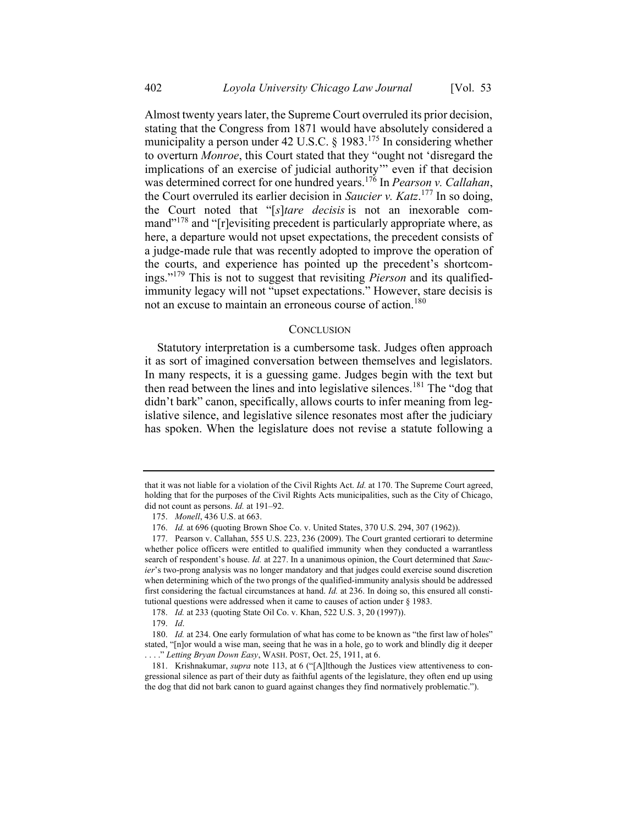Almost twenty years later, the Supreme Court overruled its prior decision, stating that the Congress from 1871 would have absolutely considered a municipality a person under 42 U.S.C.  $\S$  1983.<sup>175</sup> In considering whether to overturn Monroe, this Court stated that they "ought not 'disregard the implications of an exercise of judicial authority'" even if that decision was determined correct for one hundred years.<sup>176</sup> In *Pearson v. Callahan*, the Court overruled its earlier decision in Saucier v. Katz.<sup>177</sup> In so doing, the Court noted that "[s]tare decisis is not an inexorable command $178$  and "[r]evisiting precedent is particularly appropriate where, as here, a departure would not upset expectations, the precedent consists of a judge-made rule that was recently adopted to improve the operation of the courts, and experience has pointed up the precedent's shortcomings."<sup>179</sup> This is not to suggest that revisiting *Pierson* and its qualifiedimmunity legacy will not "upset expectations." However, stare decisis is not an excuse to maintain an erroneous course of action.<sup>180</sup>

## **CONCLUSION**

Statutory interpretation is a cumbersome task. Judges often approach it as sort of imagined conversation between themselves and legislators. In many respects, it is a guessing game. Judges begin with the text but then read between the lines and into legislative silences.<sup>181</sup> The "dog that didn't bark" canon, specifically, allows courts to infer meaning from legislative silence, and legislative silence resonates most after the judiciary has spoken. When the legislature does not revise a statute following a

178. Id. at 233 (quoting State Oil Co. v. Khan, 522 U.S. 3, 20 (1997)).

181. Krishnakumar, supra note 113, at 6 ("[A]lthough the Justices view attentiveness to congressional silence as part of their duty as faithful agents of the legislature, they often end up using the dog that did not bark canon to guard against changes they find normatively problematic.").

that it was not liable for a violation of the Civil Rights Act. Id. at 170. The Supreme Court agreed, holding that for the purposes of the Civil Rights Acts municipalities, such as the City of Chicago, did not count as persons. *Id.* at 191-92.

<sup>175.</sup> Monell, 436 U.S. at 663.

<sup>176.</sup> Id. at 696 (quoting Brown Shoe Co. v. United States, 370 U.S. 294, 307 (1962)).

<sup>177.</sup> Pearson v. Callahan, 555 U.S. 223, 236 (2009). The Court granted certiorari to determine whether police officers were entitled to qualified immunity when they conducted a warrantless search of respondent's house. Id. at 227. In a unanimous opinion, the Court determined that Saucier's two-prong analysis was no longer mandatory and that judges could exercise sound discretion when determining which of the two prongs of the qualified-immunity analysis should be addressed first considering the factual circumstances at hand. Id. at 236. In doing so, this ensured all constitutional questions were addressed when it came to causes of action under § 1983.

<sup>179.</sup> Id.

<sup>180.</sup> Id. at 234. One early formulation of what has come to be known as "the first law of holes" stated, "[n]or would a wise man, seeing that he was in a hole, go to work and blindly dig it deeper ..." Letting Bryan Down Easy, WASH. POST, Oct. 25, 1911, at 6.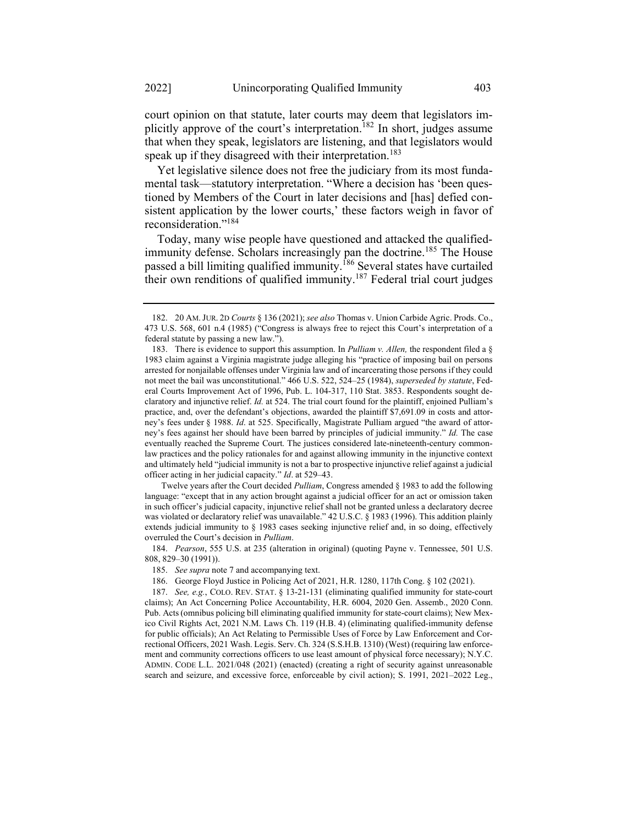Yet legislative silence does not free the judiciary from its most fundamental task—statutory interpretation. "Where a decision has 'been questioned by Members of the Court in later decisions and [has] defied consistent application by the lower courts,' these factors weigh in favor of reconsideration."<sup>184</sup>

Today, many wise people have questioned and attacked the qualifiedimmunity defense. Scholars increasingly pan the doctrine.<sup>185</sup> The House passed a bill limiting qualified immunity.<sup>186</sup> Several states have curtailed their own renditions of qualified immunity.<sup>187</sup> Federal trial court judges

Twelve years after the Court decided Pulliam, Congress amended § 1983 to add the following language: "except that in any action brought against a judicial officer for an act or omission taken in such officer's judicial capacity, injunctive relief shall not be granted unless a declaratory decree was violated or declaratory relief was unavailable." 42 U.S.C. § 1983 (1996). This addition plainly extends judicial immunity to § 1983 cases seeking injunctive relief and, in so doing, effectively overruled the Court's decision in Pulliam.

184. Pearson, 555 U.S. at 235 (alteration in original) (quoting Payne v. Tennessee, 501 U.S. 808, 829–30 (1991)).

<sup>182. 20</sup> AM.JUR. 2<sup>D</sup> Courts § 136 (2021); see also Thomas v. Union Carbide Agric. Prods. Co., 473 U.S. 568, 601 n.4 (1985) ("Congress is always free to reject this Court's interpretation of a federal statute by passing a new law.").

<sup>183.</sup> There is evidence to support this assumption. In *Pulliam v. Allen*, the respondent filed a  $\S$ 1983 claim against a Virginia magistrate judge alleging his "practice of imposing bail on persons arrested for nonjailable offenses under Virginia law and of incarcerating those persons if they could not meet the bail was unconstitutional." 466 U.S. 522, 524–25 (1984), superseded by statute, Federal Courts Improvement Act of 1996, Pub. L. 104-317, 110 Stat. 3853. Respondents sought declaratory and injunctive relief. Id. at 524. The trial court found for the plaintiff, enjoined Pulliam's practice, and, over the defendant's objections, awarded the plaintiff \$7,691.09 in costs and attorney's fees under § 1988. Id. at 525. Specifically, Magistrate Pulliam argued "the award of attorney's fees against her should have been barred by principles of judicial immunity." Id. The case eventually reached the Supreme Court. The justices considered late-nineteenth-century commonlaw practices and the policy rationales for and against allowing immunity in the injunctive context and ultimately held "judicial immunity is not a bar to prospective injunctive relief against a judicial officer acting in her judicial capacity." Id. at 529–43.

<sup>185.</sup> See supra note 7 and accompanying text.

<sup>186.</sup> George Floyd Justice in Policing Act of 2021, H.R. 1280, 117th Cong. § 102 (2021).

<sup>187.</sup> See, e.g., COLO. REV. STAT. § 13-21-131 (eliminating qualified immunity for state-court claims); An Act Concerning Police Accountability, H.R. 6004, 2020 Gen. Assemb., 2020 Conn. Pub. Acts(omnibus policing bill eliminating qualified immunity for state-court claims); New Mexico Civil Rights Act, 2021 N.M. Laws Ch. 119 (H.B. 4) (eliminating qualified-immunity defense for public officials); An Act Relating to Permissible Uses of Force by Law Enforcement and Correctional Officers, 2021 Wash. Legis. Serv. Ch. 324 (S.S.H.B. 1310) (West) (requiring law enforcement and community corrections officers to use least amount of physical force necessary); N.Y.C. ADMIN. CODE L.L. 2021/048 (2021) (enacted) (creating a right of security against unreasonable search and seizure, and excessive force, enforceable by civil action); S. 1991, 2021–2022 Leg.,